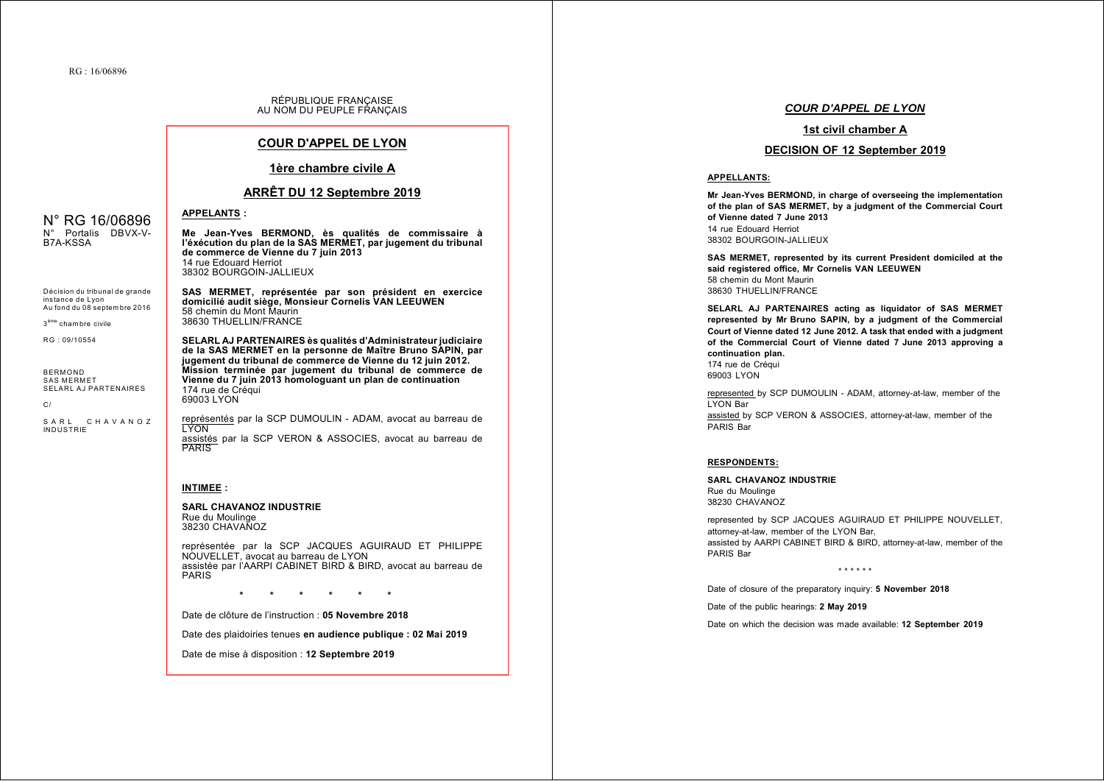RÉPUBLIQUE FRANCAISE AU NOM DU PEUPLE FRANÇAIS

# **COUR D'APPEL DE LYON**

# 1ère chambre civile A

# ARRÊT DU 12 Septembre 2019

# N° RG 16/06896 N° Portalis DBVX-V-**B7A-KSSA**

instance de Lvon

3<sup>ème</sup> chambre civile

 $RG : 09/10554$ 

**BERMOND** 

**INDUSTRIE** 

 $C_{l}$ 

SAS MERMET

**APPELANTS:** 

Me Jean-Yves BERMOND, ès qualités de commissaire à l'éxécution du plan de la SAS MERMET, par jugement du tribunal de commerce de Vienne du 7 juin 2013 14 rue Edouard Herriot 38302 BOURGOIN-JALLIEUX Décision du tribunal de grande SAS MERMET, représentée par son président en exercice domicilié audit siège. Monsieur Cornelis VAN LEEUWEN Au fond du 08 septembre 2016 58 chemin du Mont Maurin 38630 THUELLIN/FRANCE SELARL AJ PARTENAIRES ès qualités d'Administrateur judiciaire de la SAS MERMET en la personne de Maître Bruno SAPIN, par jugement du tribunal de commerce de Vienne du 12 juin 2012. Mission terminée par jugement du tribunal de commerce de Vienne du 7 juin 2013 homologuant un plan de continuation SELARI AJ PARTENAIRES 174 rue de Créqui 69003 LYON représentés par la SCP DUMOULIN - ADAM, avocat au barreau de SARL CHAVANOZ **LYON** assistés par la SCP VERON & ASSOCIES, avocat au barreau de **PARIS** INTIMEE: **SARL CHAVANOZ INDUSTRIE** Rue du Moulinge 38230 CHAVANOZ

représentée par la SCP JACQUES AGUIRAUD ET PHILIPPE NOUVELLET, avocat au barreau de LYON assistée par l'AARPI CABINET BIRD & BIRD, avocat au barreau de PARIS

 $\star$   $\star$   $\star$   $\star$ 

Date de clôture de l'instruction : 05 Novembre 2018

Date des plaidoiries tenues en audience publique : 02 Mai 2019

Date de mise à disposition : 12 Septembre 2019

# **COUR D'APPEL DE LYON**

## 1st civil chamber A

# **DECISION OF 12 September 2019**

# **APPELLANTS:**

Mr Jean-Yves BERMOND, in charge of overseeing the implementation of the plan of SAS MERMET, by a judgment of the Commercial Court of Vienne dated 7 June 2013 14 rue Edouard Herriot 38302 BOURGOIN-JALLIEUX

SAS MERMET, represented by its current President domiciled at the said registered office, Mr Cornelis VAN LEEUWEN 58 chemin du Mont Maurin 38630 THUELLIN/FRANCE

SELARL AJ PARTENAIRES acting as liquidator of SAS MERMET represented by Mr Bruno SAPIN, by a judgment of the Commercial Court of Vienne dated 12 June 2012. A task that ended with a judgment of the Commercial Court of Vienne dated 7 June 2013 approving a continuation plan. 174 rue de Créaui 69003 LYON

represented by SCP DUMOULIN - ADAM, attorney-at-law, member of the **I YON Bar** assisted by SCP VERON & ASSOCIES, attorney-at-law, member of the PARIS Bar

### **RESPONDENTS:**

**SARL CHAVANOZ INDUSTRIE** Rue du Moulinge 38230 CHAVANOZ

represented by SCP JACQUES AGUIRAUD ET PHILIPPE NOUVELLET, attorney-at-law, member of the LYON Bar. assisted by AARPI CABINET BIRD & BIRD, attorney-at-law, member of the PARIS Bar

<u>.</u><br>. . . . . . .

Date of closure of the preparatory inquiry: 5 November 2018

Date of the public hearings: 2 May 2019

Date on which the decision was made available: 12 September 2019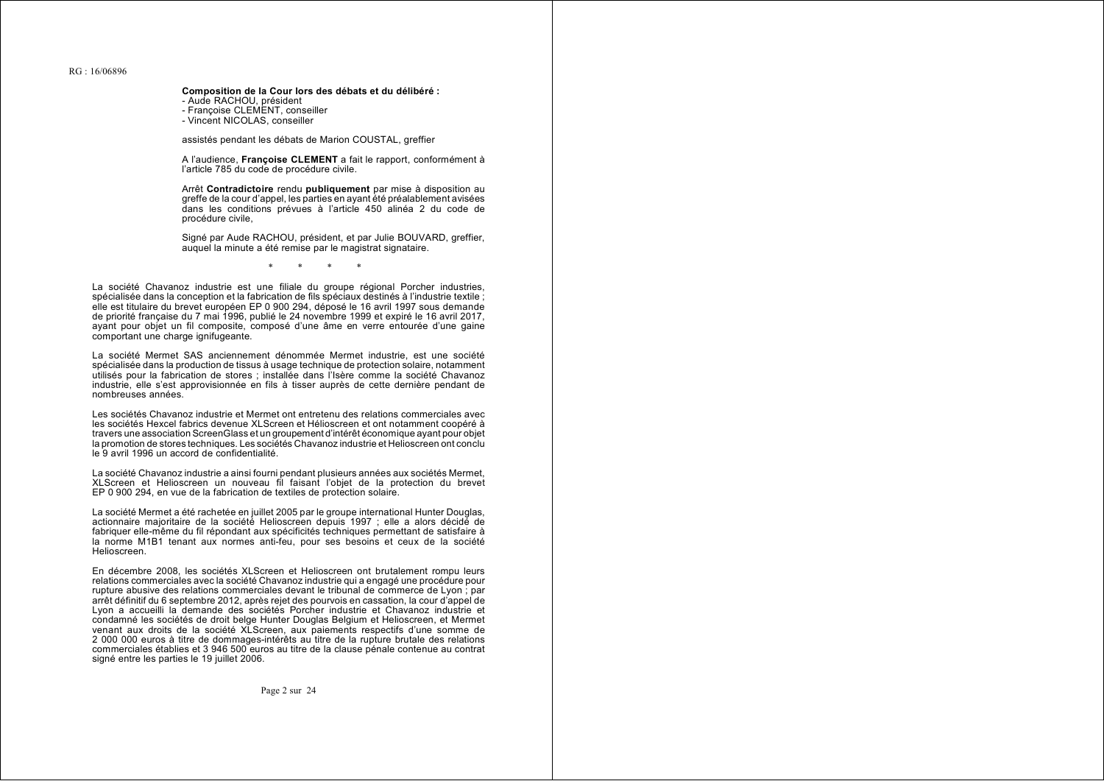Composition de la Cour lors des débats et du délibéré :

- Aude RACHOU, président
- Françoise CLEMENT, conseiller
- Vincent NICOLAS, conseiller

assistés pendant les débats de Marion COUSTAL, greffier

A l'audience, Françoise CLEMENT a fait le rapport, conformément à l'article 785 du code de procédure civile.

Arrêt Contradictoire rendu publiquement par mise à disposition au greffe de la cour d'appel, les parties en ayant été préalablement avisées dans les conditions prévues à l'article 450 alinéa 2 du code de procédure civile.

Signé par Aude RACHOU, président, et par Julie BOUVARD, greffier, auquel la minute a été remise par le magistrat signataire.

 $\begin{array}{ccccccccccccc} * & & & & * & & & * & & \end{array}$ 

La société Chavanoz industrie est une filiale du groupe régional Porcher industries, spécialisée dans la conception et la fabrication de fils spéciaux destinés à l'industrie textile : elle est titulaire du brevet européen EP 0 900 294, déposé le 16 avril 1997 sous demande de priorité française du 7 mai 1996, publié le 24 novembre 1999 et expiré le 16 avril 2017. avant pour objet un fil composite, composé d'une âme en verre entourée d'une gaine comportant une charge ignifugeante.

La société Mermet SAS anciennement dénommée Mermet industrie, est une société spécialisée dans la production de tissus à usage technique de protection solaire, notamment utilisés pour la fabrication de stores : installée dans l'Isère comme la société Chavanoz industrie, elle s'est approvisionnée en fils à tisser auprès de cette dernière pendant de nombreuses années.

Les sociétés Chavanoz industrie et Mermet ont entretenu des relations commerciales avec les sociétés Hexcel fabrics devenue XLScreen et Hélioscreen et ont notamment coopéré à travers une association ScreenGlass et un groupement d'intérêt économique avant pour objet la promotion de stores techniques. Les sociétés Chavanoz industrie et Helioscreen ont conclu le 9 avril 1996 un accord de confidentialité.

La société Chavanoz industrie a ainsi fourni pendant plusieurs années aux sociétés Mermet. XLScreen et Helioscreen un nouveau fil faisant l'objet de la protection du brevet EP 0 900 294, en vue de la fabrication de textiles de protection solaire.

La société Mermet a été rachetée en juillet 2005 par le groupe international Hunter Douglas, actionnaire maioritaire de la société Helioscreen depuis 1997 : elle a alors décidé de fabriquer elle-même du fil répondant aux spécificités techniques permettant de satisfaire à la norme M1B1 tenant aux normes anti-feu, pour ses besoins et ceux de la société Helioscreen

En décembre 2008, les sociétés XLScreen et Helioscreen ont brutalement rompu leurs relations commerciales avec la société Chavanoz industrie qui a engagé une procédure pour rupture abusive des relations commerciales devant le tribunal de commerce de Lyon : par arrêt définitif du 6 septembre 2012, après rejet des pourvois en cassation, la cour d'appel de Lyon a accueilli la demande des sociétés Porcher industrie et Chavanoz industrie et condamné les sociétés de droit belge Hunter Douglas Belgium et Helioscreen, et Mermet venant aux droits de la société XLScreen, aux paiements respectifs d'une somme de 2 000 000 euros à titre de dommages-intérêts au titre de la rupture brutale des relations commerciales établies et 3 946 500 euros au titre de la clause pénale contenue au contrat signé entre les parties le 19 juillet 2006.

Page 2 sur 24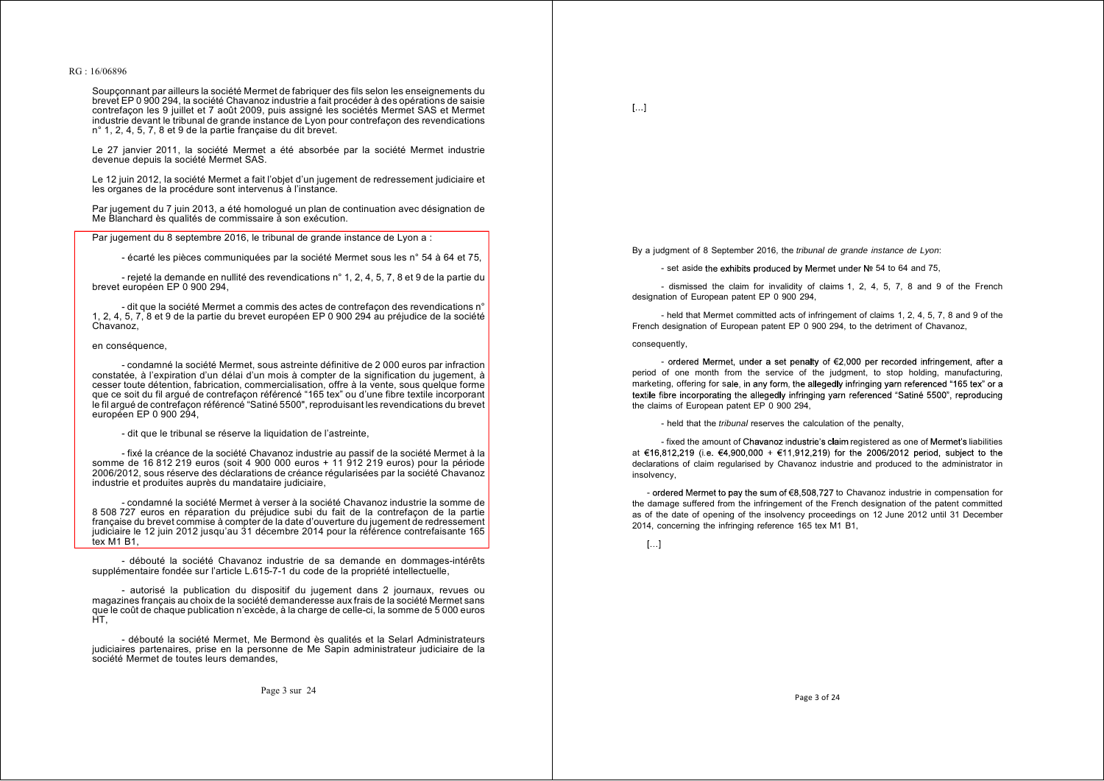Soupconnant par ailleurs la société Mermet de fabriquer des fils selon les enseignements du brevet EP 0 900 294, la société Chavanoz industrie a fait procéder à des opérations de saisie contrefacon les 9 juillet et 7 août 2009, puis assigné les sociétés Mermet SAS et Mermet industrie devant le tribunal de grande instance de Lyon pour contrefacon des revendications n° 1, 2, 4, 5, 7, 8 et 9 de la partie française du dit brevet.

Le 27 janvier 2011, la société Mermet a été absorbée par la société Mermet industrie devenue depuis la société Mermet SAS.

Le 12 juin 2012, la société Mermet a fait l'obiet d'un jugement de redressement judiciaire et les organes de la procédure sont intervenus à l'instance.

Par jugement du 7 juin 2013, a été homologué un plan de continuation avec désignation de Me Blanchard ès qualités de commissaire à son exécution.

Par jugement du 8 septembre 2016, le tribunal de grande instance de Lyon a :

- écarté les pièces communiquées par la société Mermet sous les n° 54 à 64 et 75.

- reieté la demande en nullité des revendications n° 1, 2, 4, 5, 7, 8 et 9 de la partie du brevet européen FP 0 900 294

- dit que la société Mermet a commis des actes de contrefacon des revendications n° 1, 2, 4, 5, 7, 8 et 9 de la partie du brevet européen EP 0 900 294 au préjudice de la société Chavanoz.

#### en conséquence.

- condamné la société Mermet, sous astreinte définitive de 2 000 euros par infraction constatée, à l'expiration d'un délai d'un mois à compter de la signification du jugement, à cesser toute détention, fabrication, commercialisation, offre à la vente, sous quelque forme que ce soit du fil arqué de contrefaçon référencé "165 tex" ou d'une fibre textile incorporant le fil arqué de contrefacon référencé "Satiné 5500", reproduisant les revendications du brevet européen EP 0 900 294,

- dit que le tribunal se réserve la liquidation de l'astreinte.

- fixé la créance de la société Chavanoz industrie au passif de la société Mermet à la somme de 16 812 219 euros (soit 4 900 000 euros + 11 912 219 euros) pour la période 2006/2012, sous réserve des déclarations de créance régularisées par la société Chavanoz industrie et produites auprès du mandataire judiciaire,

- condamné la société Mermet à verser à la société Chavanoz industrie la somme de 8 508 727 euros en réparation du préjudice subi du fait de la contrefacon de la partie française du brevet commise à compter de la date d'ouverture du jugement de redressement judiciaire le 12 juin 2012 jusqu'au 31 décembre 2014 pour la référence contrefaisante 165 tex M1 B1.

- débouté la société Chavanoz industrie de sa demande en dommages-intérêts supplémentaire fondée sur l'article L.615-7-1 du code de la propriété intellectuelle,

- autorisé la publication du dispositif du jugement dans 2 journaux, revues ou magazines français au choix de la société demanderesse aux frais de la société Mermet sans que le coût de chaque publication n'excède, à la charge de celle-ci, la somme de 5 000 euros ĤT.

- débouté la société Mermet, Me Bermond ès qualités et la Selarl Administrateurs judiciaires partenaires, prise en la personne de Me Sapin administrateur judiciaire de la société Mermet de toutes leurs demandes.

 $[...]$ 

By a judgment of 8 September 2016, the *tribunal de grande instance de I von*:

- set aside the exhibits produced by Mermet under Nº 54 to 64 and 75,

- dismissed the claim for invalidity of claims 1, 2, 4, 5, 7, 8 and 9 of the French designation of European patent EP 0 900 294,

- held that Mermet committed acts of infringement of claims 1, 2, 4, 5, 7, 8 and 9 of the French designation of European patent EP 0 900 294, to the detriment of Chavanoz,

consequently.

- ordered Mermet, under a set penalty of  $\epsilon$ 2.000 per recorded infringement, after a period of one month from the service of the judament, to stop holding, manufacturing. marketing, offering for sale, in any form, the allegedly infringing yarn referenced "165 tex" or a textile fibre incorporating the allegedly infringing yarn referenced "Satiné 5500", reproducing the claims of European patent FP 0 900 294

- held that the *tribunal* reserves the calculation of the penalty.

- fixed the amount of Chavanoz industrie's claim registered as one of Mermet's liabilities at  $\in$ 16.812.219 (i.e.  $\in$ 4.900.000 +  $\in$ 11.912.219) for the 2006/2012 period, subject to the declarations of claim regularised by Chavanoz industrie and produced to the administrator in insolvency

- ordered Mermet to pay the sum of €8.508.727 to Chavanoz industrie in compensation for the damage suffered from the infringement of the French designation of the patent committed as of the date of opening of the insolvency proceedings on 12 June 2012 until 31 December 2014, concerning the infringing reference 165 tex M1 B1.

 $\left[\ldots\right]$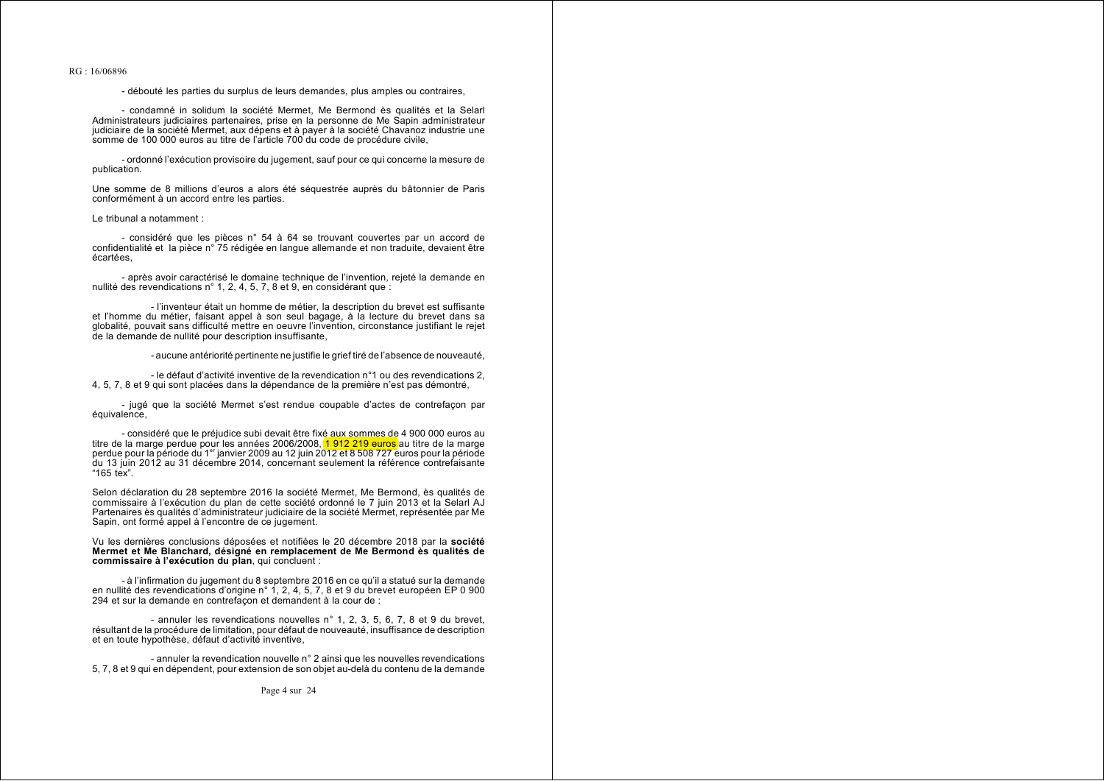- débouté les parties du surplus de leurs demandes, plus amples ou contraires.

- condamné in solidum la société Mermet, Me Bermond ès qualités et la Selarl Administrateurs judiciaires partenaires, prise en la personne de Me Sapin administrateur judiciaire de la société Mermet, aux dépens et à payer à la société Chavanoz industrie une somme de 100 000 euros au titre de l'article 700 du code de procédure civile.

- ordonné l'exécution provisoire du jugement, sauf pour ce qui concerne la mesure de publication.

Une somme de 8 millions d'euros a alors été séquestrée auprès du bâtonnier de Paris conformément à un accord entre les parties.

Le tribunal a notamment :

- considéré que les pièces n° 54 à 64 se trouvant couvertes par un accord de confidentialité et la pièce n° 75 rédigée en langue allemande et non traduite, devaient être écartées.

- après avoir caractérisé le domaine technique de l'invention, rejeté la demande en nullité des revendications n° 1 2 4 5 7 8 et 9 en considérant que

- l'inventeur était un homme de métier. la description du brevet est suffisante et l'homme du métier, faisant appel à son seul bagage, à la lecture du brevet dans sa globalité, pouvait sans difficulté mettre en oeuvre l'invention, circonstance justifiant le rejet de la demande de nullité pour description insuffisante,

- aucune antériorité pertinente ne justifie le grief tiré de l'absence de nouveauté,

- le défaut d'activité inventive de la revendication n°1 ou des revendications 2. 4, 5, 7, 8 et 9 qui sont placées dans la dépendance de la première n'est pas démontré,

- jugé que la société Mermet s'est rendue coupable d'actes de contrefacon par équivalence,

- considéré que le préjudice subi devait être fixé aux sommes de 4 900 000 euros au titre de la marge perdue pour les années 2006/2008, 1912 219 euros au titre de la marge perdue pour la période du 1<sup>er</sup> janvier 2009 au 12 juin 2012 et 8 508 727 euros pour la période du 13 juin 2012 au 31 décembre 2014, concernant seulement la référence contrefaisante "165 tex".

Selon déclaration du 28 septembre 2016 la société Mermet, Me Bermond, ès qualités de commissaire à l'exécution du plan de cette société ordonné le 7 juin 2013 et la Selarl AJ Partenaires ès qualités d'administrateur judiciaire de la société Mermet, représentée par Me Sapin, ont formé appel à l'encontre de ce jugement.

Vu les dernières conclusions déposées et notifiées le 20 décembre 2018 par la société Mermet et Me Blanchard, désigné en remplacement de Me Bermond ès qualités de commissaire à l'exécution du plan qui concluent

- à l'infirmation du jugement du 8 septembre 2016 en ce qu'il a statué sur la demande en nullité des revendications d'origine n° 1, 2, 4, 5, 7, 8 et 9 du brevet européen EP 0,900 294 et sur la demande en contrefaçon et demandent à la cour de :

- annuler les revendications nouvelles n° 1, 2, 3, 5, 6, 7, 8 et 9 du brevet, résultant de la procédure de limitation, pour défaut de nouveauté, insuffisance de description et en toute hypothèse, défaut d'activité inventive,

- annuler la revendication nouvelle n° 2 ainsi que les nouvelles revendications 5.7, 8 et 9 qui en dépendent, pour extension de son objet au-delà du contenu de la demande

Page 4 sur 24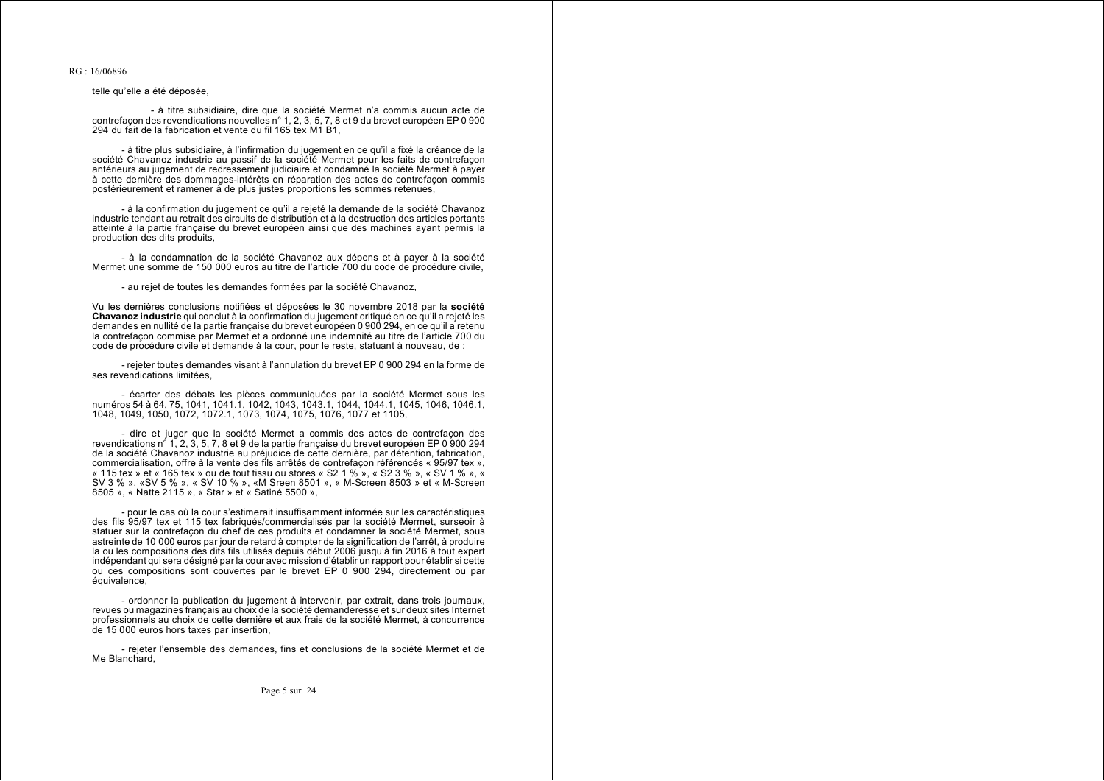# telle qu'elle a été déposée.

- à titre subsidiaire, dire que la société Mermet n'a commis aucun acte de contrefacon des revendications nouvelles n° 1, 2, 3, 5, 7, 8 et 9 du brevet européen EP 0 900 294 du fait de la fabrication et vente du fil 165 tex M1 B1.

- à titre plus subsidiaire, à l'infirmation du jugement en ce qu'il a fixé la créance de la société Chavanoz industrie au passif de la société Mermet pour les faits de contrefacon antérieurs au jugement de redressement judiciaire et condamné la société Mermet à payer à cette dernière des dommages-intérêts en réparation des actes de contrefacon commis postérieurement et ramener à de plus justes proportions les sommes retenues,

- à la confirmation du jugement ce qu'il a rejeté la demande de la société Chavanoz industrie tendant au retrait des circuits de distribution et à la destruction des articles portants atteinte à la partie française du brevet européen ainsi que des machines avant permis la production des dits produits.

- à la condamnation de la société Chavanoz aux dépens et à paver à la société Mermet une somme de 150 000 euros au titre de l'article 700 du code de procédure civile.

- au rejet de toutes les demandes formées par la société Chavanoz

Vu les dernières conclusions notifiées et déposées le 30 novembre 2018 par la société Chavanoz industrie qui conclut à la confirmation du jugement critiqué en ce qu'il a rejeté les demandes en nullité de la partie française du brevet européen 0 900 294, en ce qu'il a retenu la contrefaçon commise par Mermet et a ordonné une indemnité au titre de l'article 700 du code de procédure civile et demande à la cour, pour le reste, statuant à nouveau, de :

- rejeter toutes demandes visant à l'annulation du brevet EP 0 900 294 en la forme de ses revendications limitées.

- écarter des débats les pièces communiquées par la société Mermet sous les numéros 54 à 64, 75, 1041, 1041, 1, 1042, 1043, 1043, 1, 1044, 1044, 1, 1045, 1046, 1046, 1, 1048, 1049, 1050, 1072, 1072.1, 1073, 1074, 1075, 1076, 1077 et 1105,

- dire et juger que la société Mermet a commis des actes de contrefacon des revendications n° 1, 2, 3, 5, 7, 8 et 9 de la partie française du brevet européen EP 0 900 294 de la société Chavanoz industrie au préjudice de cette dernière, par détention, fabrication, commercialisation, offre à la vente des fils arrêtés de contrefaçon référencés « 95/97 tex », « 115 tex » et « 165 tex » ou de tout tissu ou stores « S2 1 % », « S2 3 % », « SV 1 % », « SV 3 % », «SV 5 % », «SV 10 % », «M Sreen 8501 », «M-Screen 8503 » et « M-Screen 8505 », « Natte 2115 », « Star » et « Satiné 5500 »,

- pour le cas où la cour s'estimerait insuffisamment informée sur les caractéristiques des fils 95/97 tex et 115 tex fabriqués/commercialisés par la société Mermet, surseoir à statuer sur la contrefacon du chef de ces produits et condamner la société Mermet, sous astreinte de 10 000 euros par jour de retard à compter de la signification de l'arrêt, à produire la ou les compositions des dits fils utilisés depuis début 2006 jusqu'à fin 2016 à tout expert indépendant qui sera désigné par la cour avec mission d'établir un rapport pour établir si cette ou ces compositions sont couvertes par le brevet EP 0 900 294, directement ou par équivalence.

- ordonner la publication du jugement à intervenir, par extrait, dans trois journaux, revues ou magazines français au choix de la société demanderesse et sur deux sites Internet professionnels au choix de cette dernière et aux frais de la société Mermet, à concurrence de 15 000 euros hors taxes par insertion.

- rejeter l'ensemble des demandes, fins et conclusions de la société Mermet et de Me Blanchard.

Page 5 sur 24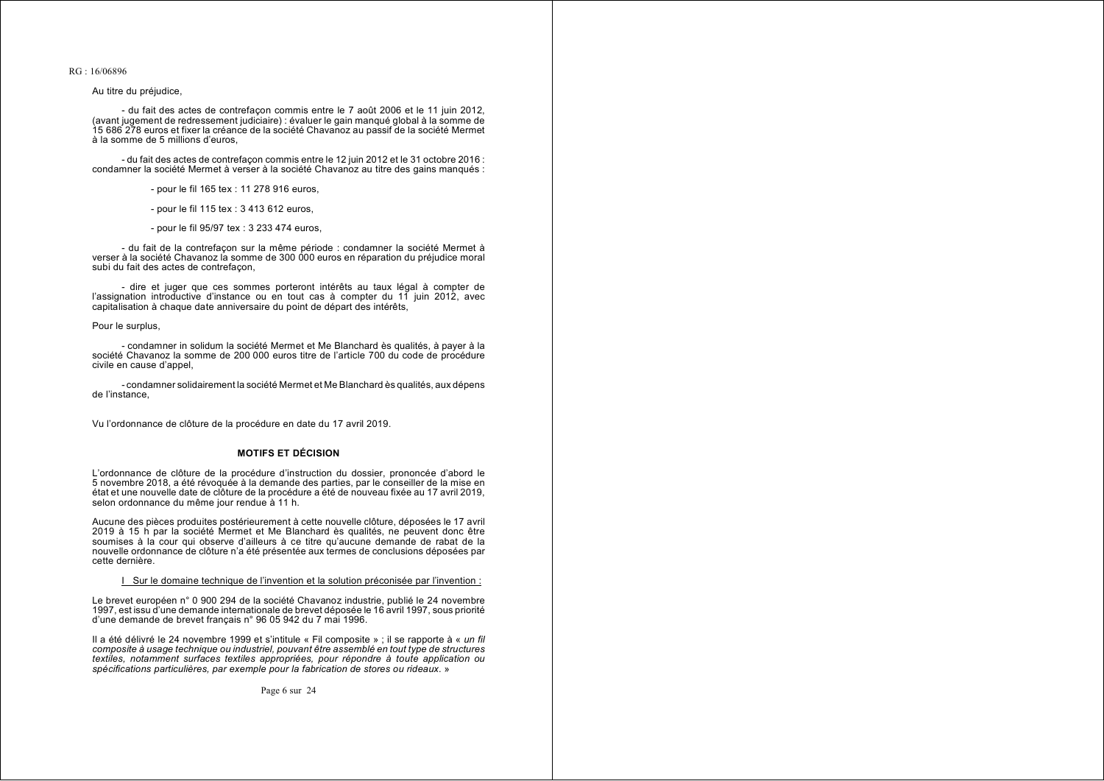Au titre du préjudice,

- du fait des actes de contrefacon commis entre le 7 août 2006 et le 11 juin 2012, (avant jugement de redressement judiciaire) : évaluer le gain mangué global à la somme de 15 686 278 euros et fixer la créance de la société Chavanoz au passif de la société Mermet à la somme de 5 millions d'euros.

- du fait des actes de contrefacon commis entre le 12 juin 2012 et le 31 octobre 2016 : condamner la société Mermet à verser à la société Chavanoz au titre des gains manqués :

- pour le fil 165 tex : 11 278 916 euros,

- pour le fil 115 tex : 3 413 612 euros,

- pour le fil 95/97 tex : 3 233 474 euros.

- du fait de la contrefaçon sur la même période : condamner la société Mermet à verser à la société Chavanoz la somme de 300 000 euros en réparation du préjudice moral subi du fait des actes de contrefacon.

- dire et juger que ces sommes porteront intérêts au taux légal à compter de l'assignation introductive d'instance ou en tout cas à compter du 11 juin 2012, avec capitalisation à chaque date anniversaire du point de départ des intérêts.

Pour le surplus.

- condamner in solidum la société Mermet et Me Blanchard ès qualités, à payer à la société Chavanoz la somme de 200 000 euros titre de l'article 700 du code de procédure civile en cause d'appel.

- condamner solidairement la société Mermet et Me Blanchard ès qualités, aux dépens de l'instance.

Vu l'ordonnance de clôture de la procédure en date du 17 avril 2019.

# **MOTIFS ET DÉCISION**

L'ordonnance de clôture de la procédure d'instruction du dossier, prononcée d'abord le 5 novembre 2018, a été révoquée à la demande des parties, par le conseiller de la mise en état et une nouvelle date de clôture de la procédure a été de nouveau fixée au 17 avril 2019, selon ordonnance du même jour rendue à 11 h.

Aucune des pièces produites postérieurement à cette nouvelle clôture, déposées le 17 avril 2019 à 15 h par la société Mermet et Me Blanchard ès qualités, ne peuvent donc être soumises à la cour qui observe d'ailleurs à ce titre qu'aucune demande de rabat de la nouvelle ordonnance de clôture n'a été présentée aux termes de conclusions déposées par cette dernière

I Sur le domaine technique de l'invention et la solution préconisée par l'invention :

Le brevet européen n° 0 900 294 de la société Chavanoz industrie, publié le 24 novembre 1997, est issu d'une demande internationale de brevet déposée le 16 avril 1997, sous priorité d'une demande de brevet français n° 96 05 942 du 7 mai 1996.

Il a été délivré le 24 novembre 1999 et s'intitule « Fil composite » ; il se rapporte à « un fil composite à usage technique ou industriel, pouvant être assemblé en tout type de structures textiles, notamment surfaces textiles appropriées, pour répondre à toute application ou spécifications particulières, par exemple pour la fabrication de stores ou rideaux, »

Page 6 sur 24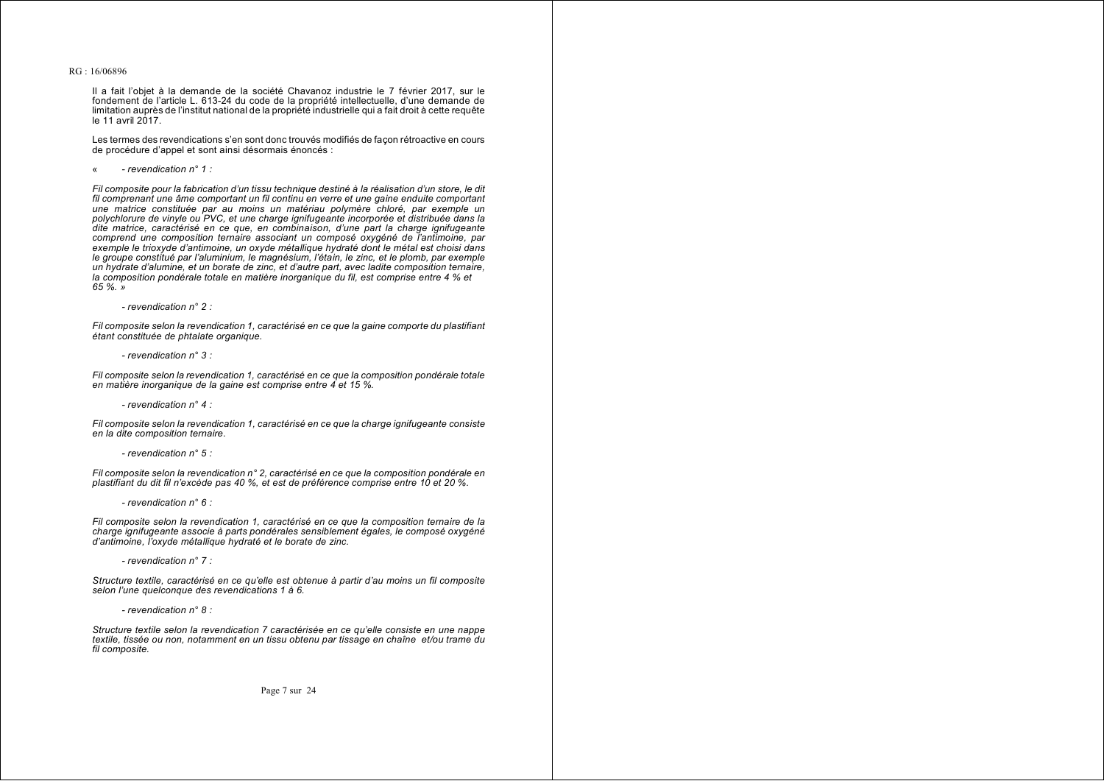Il a fait l'objet à la demande de la société Chavanoz industrie le 7 février 2017, sur le fondement de l'article L. 613-24 du code de la propriété intellectuelle, d'une demande de limitation auprès de l'institut national de la propriété industrielle qui a fait droit à cette requête le 11 avril 2017.

Les termes des revendications s'en sont donc trouvés modifiés de facon rétroactive en cours de procédure d'appel et sont ainsi désormais énoncés :

- revendication  $n^{\circ}$  1 :

Fil composite pour la fabrication d'un tissu technique destiné à la réalisation d'un store, le dit fil comprenant une âme comportant un fil continu en verre et une gaine enduite comportant une matrice constituée par au moins un matériau polymère chloré, par exemple un polychlorure de vinyle ou PVC, et une charge ignifugeante incorporée et distribuée dans la dite matrice, caractérisé en ce que, en combinaison, d'une part la charge ignifugeante comprend une composition ternaire associant un composé oxygéné de l'antimoine, par exemple le trioxyde d'antimoine, un oxyde métallique hydraté dont le métal est choisi dans le groupe constitué par l'aluminium, le magnésium, l'étain, le zinc, et le plomb, par exemple un hydrate d'alumine, et un borate de zinc, et d'autre part, avec ladite composition ternaire. la composition pondérale totale en matière inorganique du fil. est comprise entre 4 % et  $65 \%$  »

- revendication  $n^{\circ}$  2 ·

Fil composite selon la revendication 1, caractérisé en ce que la gaine comporte du plastifiant étant constituée de phtalate organique.

- revendication  $n^{\circ}$  3 :

Fil composite selon la revendication 1, caractérisé en ce que la composition pondérale totale en matière inorganique de la gaine est comprise entre 4 et 15 %.

- revendication  $n^{\circ}$  4 :

Fil composite selon la revendication 1, caractérisé en ce que la charge ignifugeante consiste en la dite composition ternaire.

- revendication  $n^{\circ}$  5 :

Fil composite selon la revendication n° 2, caractérisé en ce que la composition pondérale en plastifiant du dit fil n'excède pas 40 %, et est de préférence comprise entre 10 et 20 %.

- revendication  $n^{\circ}$  6 :

Fil composite selon la revendication 1, caractérisé en ce que la composition ternaire de la charge ignifugeante associe à parts pondérales sensiblement égales, le composé oxygéné d'antimoine. l'oxyde métallique hydraté et le borate de zinc.

- revendication  $n^{\circ}$  7  $\cdot$ 

Structure textile, caractérisé en ce qu'elle est obtenue à partir d'au moins un fil composite selon l'une quelconque des revendications 1 à 6.

- revendication  $n^{\circ}$  8 :

Structure textile selon la revendication 7 caractérisée en ce qu'elle consiste en une nappe textile, tissée ou non, notamment en un tissu obtenu par tissage en chaîne et/ou trame du fil composite.

Page 7 sur 24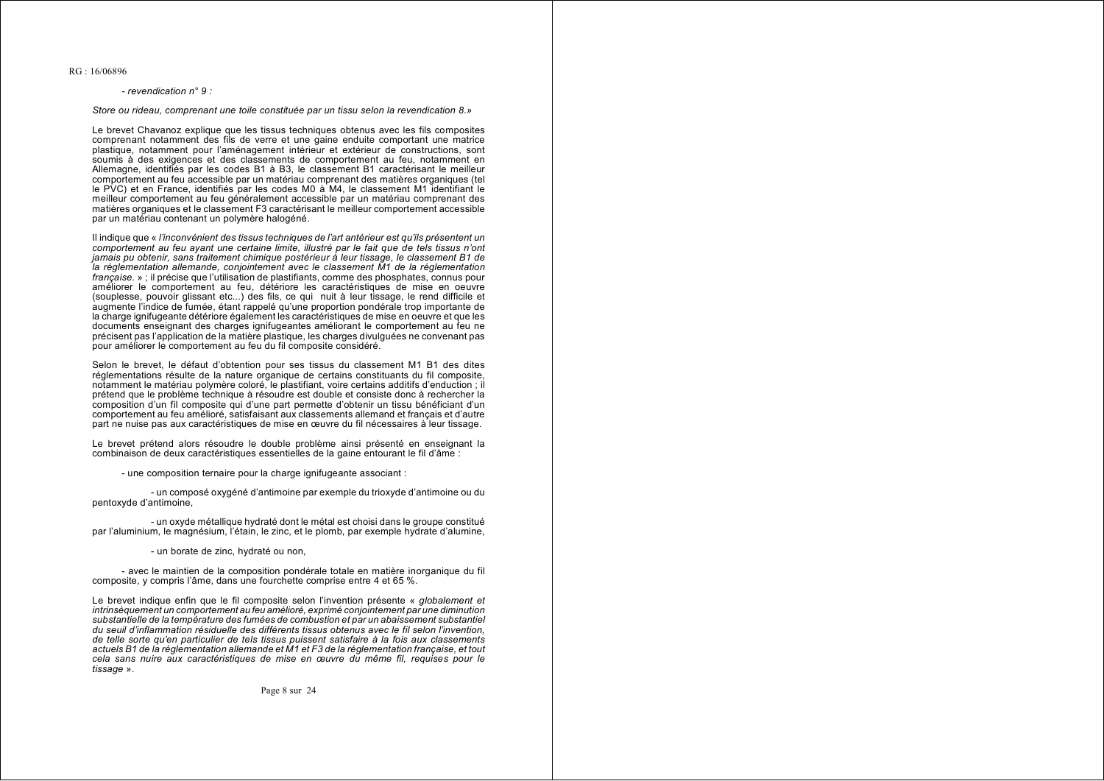# - revendication  $n^{\circ}$  9 :

Store ou rideau, comprenant une toile constituée par un tissu selon la revendication 8.»

Le brevet Chavanoz explique que les tissus techniques obtenus avec les fils composites comprenant notamment des fils de verre et une gaine enduite comportant une matrice plastique, notamment pour l'aménagement intérieur et extérieur de constructions, sont soumis à des exigences et des classements de comportement au feu, notamment en Allemagne, identifiés par les codes B1 à B3, le classement B1 caractérisant le meilleur comportement au feu accessible par un matériau comprenant des matières organiques (tel le PVC) et en France, identifiés par les codes M0 à M4, le classement M1 identifiant le meilleur comportement au feu généralement accessible par un matériau comprenant des matières organiques et le classement F3 caractérisant le meilleur comportement accessible par un matériau contenant un polymère halogéné.

Il indique que « l'inconvénient des tissus techniques de l'art antérieur est qu'ils présentent un comportement au feu ayant une certaine limite, illustré par le fait que de tels tissus n'ont jamais pu obtenir, sans traitement chimique postérieur à leur tissage, le classement B1 de la réglementation allemande, conjointement avec le classement M1 de la réglementation française, » : il précise que l'utilisation de plastifiants, comme des phosphates, connus pour améliorer le comportement au feu détériore les caractéristiques de mise en oeuvre (souplesse, pouvoir alissant etc...) des fils, ce qui nuit à leur tissage, le rend difficile et augmente l'indice de fumée, étant rappelé qu'une proportion pondérale trop importante de la charge jonifugeante détériore également les caractéristiques de mise en oeuvre et que les documents enseignant des charges jgnifugeantes améliorant le comportement au feu ne précisent pas l'application de la matière plastique, les charges divulguées ne convenant pas pour améliorer le comportement au feu du fil composite considéré.

Selon le brevet, le défaut d'obtention pour ses tissus du classement M1 B1 des dites réglementations résulte de la nature organique de certains constituants du fil composite. notamment le matériau polymère coloré. Je plastifiant, voire certains additifs d'enduction : il prétend que le problème technique à résoudre est double et consiste donc à rechercher la composition d'un fil composite qui d'une part permette d'obtenir un tissu bénéficiant d'un comportement au feu amélioré, satisfaisant aux classements allemand et français et d'autre part ne nuise pas aux caractéristiques de mise en œuvre du fil nécessaires à leur tissage.

Le brevet prétend alors résoudre le double problème ainsi présenté en enseignant la combinaison de deux caractéristiques essentielles de la gaine entourant le fil d'âme :

- une composition ternaire pour la charge ignifugeante associant :

- un composé oxygéné d'antimoine par exemple du trioxyde d'antimoine ou du pentoxyde d'antimoine.

- un oxyde métallique hydraté dont le métal est choisi dans le groupe constitué par l'aluminium, le magnésium, l'étain, le zinc, et le plomb, par exemple hydrate d'alumine,

- un borate de zinc, hydraté ou non,

- avec le maintien de la composition pondérale totale en matière inorganique du fil composite, y compris l'âme, dans une fourchette comprise entre 4 et 65 %.

Le brevet indique enfin que le fil composite selon l'invention présente « globalement et intrinsèquement un comportement au feu amélioré, exprimé conjointement par une diminution substantielle de la température des fumées de combustion et par un abaissement substantiel du seuil d'inflammation résiduelle des différents tissus obtenus avec le fil selon l'invention. de telle sorte qu'en particulier de tels tissus puissent satisfaire à la fois aux classements actuels B1 de la réglementation allemande et M1 et F3 de la réglementation française, et tout cela sans nuire aux caractéristiques de mise en œuvre du même fil, requises pour le  $tissaae.$ 

Page 8 sur 24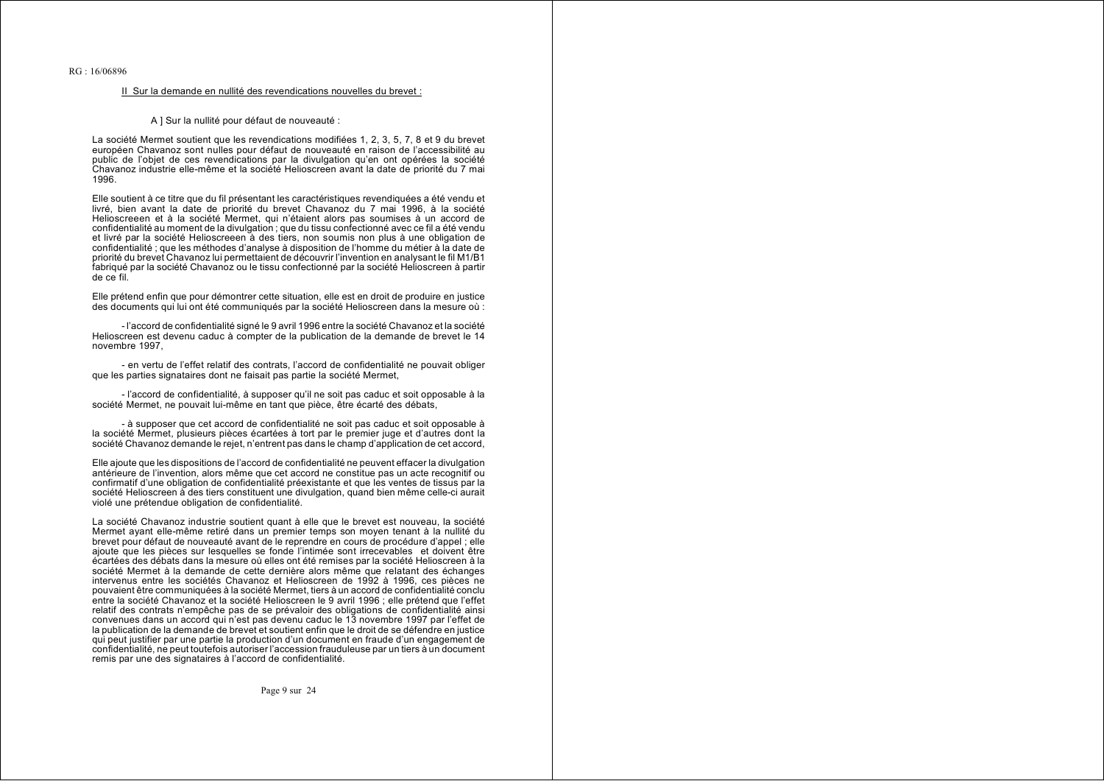## Il Sur la demande en nullité des revendications nouvelles du brevet :

## A | Sur la nullité pour défaut de nouveauté :

La société Mermet soutient que les revendications modifiées 1, 2, 3, 5, 7, 8 et 9 du brevet européen Chavanoz sont nulles pour défaut de nouveauté en raison de l'accessibilité au public de l'objet de ces revendications par la divulgation qu'en ont opérées la société Chavanoz industrie elle-même et la société Helioscreen avant la date de priorité du 7 mai 1996

Elle soutient à ce titre que du fil présentant les caractéristiques revendiquées a été vendu et livré, bien avant la date de priorité du brevet Chavanoz du 7 mai 1996, à la société Helioscreeen et à la société Mermet, qui n'étaient alors pas soumises à un accord de confidentialité au moment de la divulgation : que du tissu confectionné avec ce fil a été vendu et livré par la société Helioscreeen à des tiers, non soumis non plus à une obligation de confidentialité ; que les méthodes d'analyse à disposition de l'homme du métier à la date de priorité du brevet Chavanoz lui permettaient de découvrir l'invention en analysant le fil M1/B1 fabriqué par la société Chavanoz ou le tissu confectionné par la société Helioscreen à partir de ce fil.

Elle prétend enfin que pour démontrer cette situation, elle est en droit de produire en justice des documents qui lui ont été communiqués par la société Helioscreen dans la mesure où :

- l'accord de confidentialité signé le 9 avril 1996 entre la société Chavanoz et la société Helioscreen est devenu caduc à compter de la publication de la demande de brevet le 14 novembre 1997.

- en vertu de l'effet relatif des contrats, l'accord de confidentialité ne pouvait obliger que les parties signataires dont ne faisait pas partie la société Mermet.

- l'accord de confidentialité, à supposer qu'il ne soit pas caduc et soit opposable à la société Mermet, ne pouvait lui-même en tant que pièce, être écarté des débats,

- à supposer que cet accord de confidentialité ne soit pas caduc et soit opposable à la société Mermet, plusieurs pièces écartées à tort par le premier juge et d'autres dont la société Chavanoz demande le rejet, n'entrent pas dans le champ d'application de cet accord.

Elle ajoute que les dispositions de l'accord de confidentialité ne peuvent effacer la divulgation antérieure de l'invention, alors même que cet accord ne constitue pas un acte recognitif ou confirmatif d'une obligation de confidentialité préexistante et que les ventes de tissus par la société Helioscreen à des tiers constituent une divulgation, quand bien même celle-ci aurait violé une prétendue obligation de confidentialité.

La société Chavanoz industrie soutient quant à elle que le brevet est nouveau. la société Mermet avant elle-même retiré dans un premier temps son moyen tenant à la nullité du brevet pour défaut de nouveauté avant de le reprendre en cours de procédure d'appel : elle ajoute que les pièces sur lesquelles se fonde l'intimée sont irrecevables et doivent être écartées des débats dans la mesure où elles ont été remises par la société Helioscreen à la société Mermet à la demande de cette dernière alors même que relatant des échanges intervenus entre les sociétés Chavanoz et Helioscreen de 1992 à 1996, ces pièces ne pouvaient être communiquées à la société Mermet, tiers à un accord de confidentialité conclu entre la société Chavanoz et la société Helioscreen le 9 avril 1996 ; elle prétend que l'effet relatif des contrats n'empêche pas de se prévaloir des obligations de confidentialité ainsi convenues dans un accord qui n'est pas devenu caduc le 13 novembre 1997 par l'effet de la publication de la demande de brevet et soutient enfin que le droit de se défendre en justice qui peut justifier par une partie la production d'un document en fraude d'un engagement de confidentialité, ne peut toutefois autoriser l'accession frauduleuse par un tiers à un document remis par une des signataires à l'accord de confidentialité.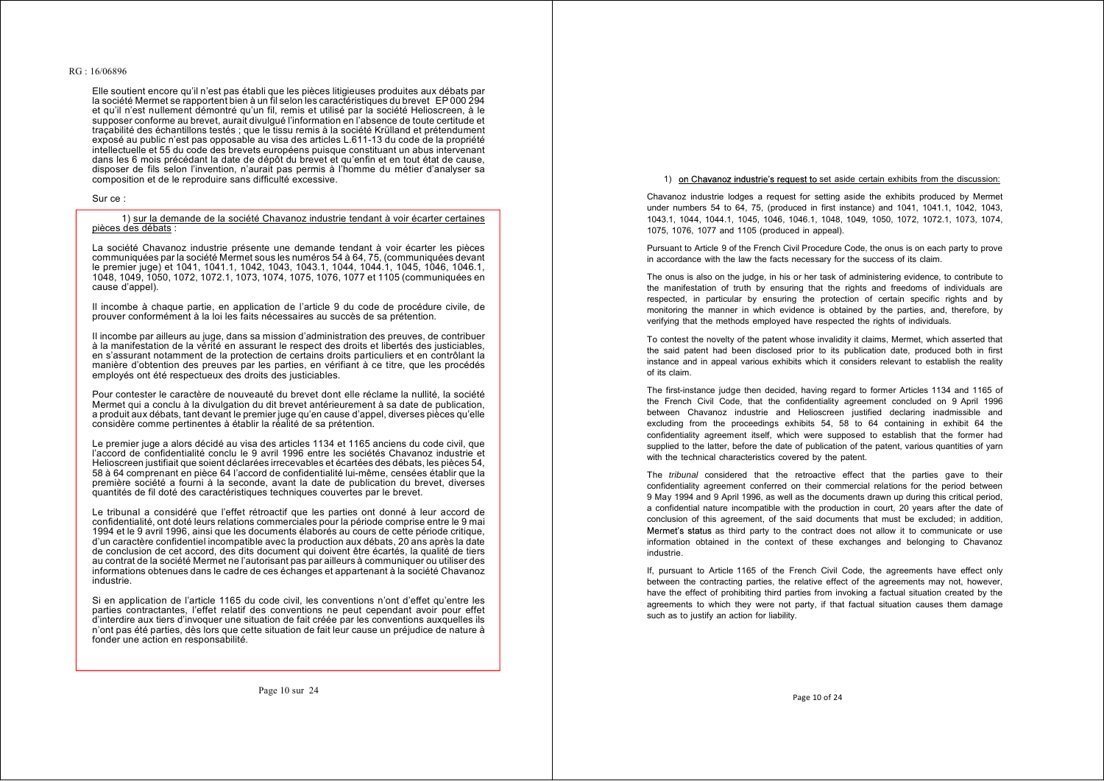Elle soutient encore qu'il n'est pas établi que les pièces litigieuses produites aux débats par la société Mermet se rapportent bien à un fil selon les caractéristiques du brevet EP 000 294 et qu'il n'est nullement démontré qu'un fil, remis et utilisé par la société Helioscreen, à le supposer conforme au brevet, aurait divulgué l'information en l'absence de toute certitude et tracabilité des échantillons testés : que le tissu remis à la société Krülland et prétendument exposé au public n'est pas opposable au visa des articles L.611-13 du code de la propriété intellectuelle et 55 du code des brevets européens puisque constituant un abus intervenant dans les 6 mois précédant la date de dépôt du brevet et qu'enfin et en tout état de cause. disposer de fils selon l'invention, n'aurait pas permis à l'homme du métier d'analyser sa composition et de le reproduire sans difficulté excessive.

#### Sur ce:

1) sur la demande de la société Chavanoz industrie tendant à voir écarter certaines pièces des débats :

La société Chavanoz industrie présente une demande tendant à voir écarter les pièces communiquées par la société Mermet sous les numéros 54 à 64, 75, (communiquées devant<br>le premier juge) et 1041, 1041.1, 1042, 1043, 1043.1, 1044, 1044.1, 1045, 1046, 1046.1, 1048, 1049, 1050, 1072, 1072, 1, 1073, 1074, 1075, 1076, 1077 et 1105 (communiquées en cause d'annel)

Il incombe à chaque partie, en application de l'article 9 du code de procédure civile, de producer conformément à la loi les faits nécessaires au succès de sa prétention.

Il incombe par ailleurs au juge, dans sa mission d'administration des preuves, de contribuer à la manifestation de la vérité en assurant le respect des droits et libertés des justiciables. en s'assurant notamment de la protection de certains droits particuliers et en contrôlant la manière d'obtention des preuves par les parties, en vérifiant à ce titre, que les procédés employés ont été respectueux des droits des justiciables.

Pour contester le caractère de nouveauté du brevet dont elle réclame la nullité, la société Mermet qui a conclu à la divulgation du dit brevet antérieurement à sa date de publication, a produit aux débats, tant devant le premier juge qu'en cause d'appel, diverses pièces qu'elle considère comme pertinentes à établir la réalité de sa prétention.

Le premier juge a alors décidé au visa des articles 1134 et 1165 anciens du code civil, que l'accord de confidentialité conclu le 9 avril 1996 entre les sociétés Chavanoz industrie et Helioscreen justifiait que soient déclarées irrecevables et écartées des débats, les pièces 54. 58 à 64 comprenant en pièce 64 l'accord de confidentialité lui-même, censées établir que la première société a fourni à la seconde, avant la date de publication du brevet, diverses quantités de fil doté des caractéristiques techniques couvertes par le brevet.

Le tribunal a considéré que l'effet rétroactif que les parties ont donné à leur accord de confidentialité, ont doté leurs relations commerciales pour la période comprise entre le 9 mai 1994 et le 9 avril 1996, ainsi que les documents élaborés au cours de cette période critique. d'un caractère confidentiel incompatible avec la production aux débats. 20 ans après la date de conclusion de cet accord, des dits document qui doivent être écartés, la qualité de tiers au contrat de la société Mermet ne l'autorisant pas par ailleurs à communiquer ou utiliser des informations obtenues dans le cadre de ces échanges et appartenant à la société Chavanoz industrie.

Si en application de l'article 1165 du code civil, les conventions n'ont d'effet qu'entre les parties contractantes, l'effet relatif des conventions ne peut cependant avoir pour effet d'interdire aux tiers d'invoguer une situation de fait créée par les conventions auxquelles ils n'ont pas été parties, dès lors que cette situation de fait leur cause un préjudice de nature à fonder une action en responsabilité.

# 1) on Chavanoz industrie's request to set aside certain exhibits from the discussion:

Chavanoz industrie lodges a request for setting aside the exhibits produced by Mermet under numbers 54 to 64, 75, (produced in first instance) and 1041, 1041.1, 1042, 1043. 1043.1, 1044, 1044.1, 1045, 1046, 1046.1, 1048, 1049, 1050, 1072, 1072.1, 1073, 1074, 1075, 1076, 1077 and 1105 (produced in appeal).

Pursuant to Article 9 of the French Civil Procedure Code, the onus is on each party to prove in accordance with the law the facts necessary for the success of its claim.

The onus is also on the judge, in his or her task of administering evidence, to contribute to the manifestation of truth by ensuring that the rights and freedoms of individuals are respected, in particular by ensuring the protection of certain specific rights and by monitoring the manner in which evidence is obtained by the parties, and, therefore, by verifying that the methods employed have respected the rights of individuals.

To contest the novelty of the patent whose invalidity it claims, Mermet, which asserted that the said patent had been disclosed prior to its publication date, produced both in first instance and in appeal various exhibits which it considers relevant to establish the reality of its claim

The first-instance judge then decided, having regard to former Articles 1134 and 1165 of the French Civil Code, that the confidentiality agreement concluded on 9 April 1996 between Chavanoz industrie and Helioscreen justified declaring inadmissible and excluding from the proceedings exhibits 54, 58 to 64 containing in exhibit 64 the confidentiality agreement itself, which were supposed to establish that the former had supplied to the latter, before the date of publication of the patent, various quantities of yarn with the technical characteristics covered by the patent.

The *tribunal* considered that the retroactive effect that the parties gave to their confidentiality agreement conferred on their commercial relations for the period between 9 May 1994 and 9 April 1996, as well as the documents drawn up during this critical period. a confidential nature incompatible with the production in court, 20 years after the date of conclusion of this agreement, of the said documents that must be excluded; in addition. Mermet's status as third party to the contract does not allow it to communicate or use information obtained in the context of these exchanges and belonging to Chavanoz industrie.

If, pursuant to Article 1165 of the French Civil Code, the agreements have effect only between the contracting parties, the relative effect of the agreements may not, however, have the effect of prohibiting third parties from invoking a factual situation created by the agreements to which they were not party, if that factual situation causes them damage such as to justify an action for liability.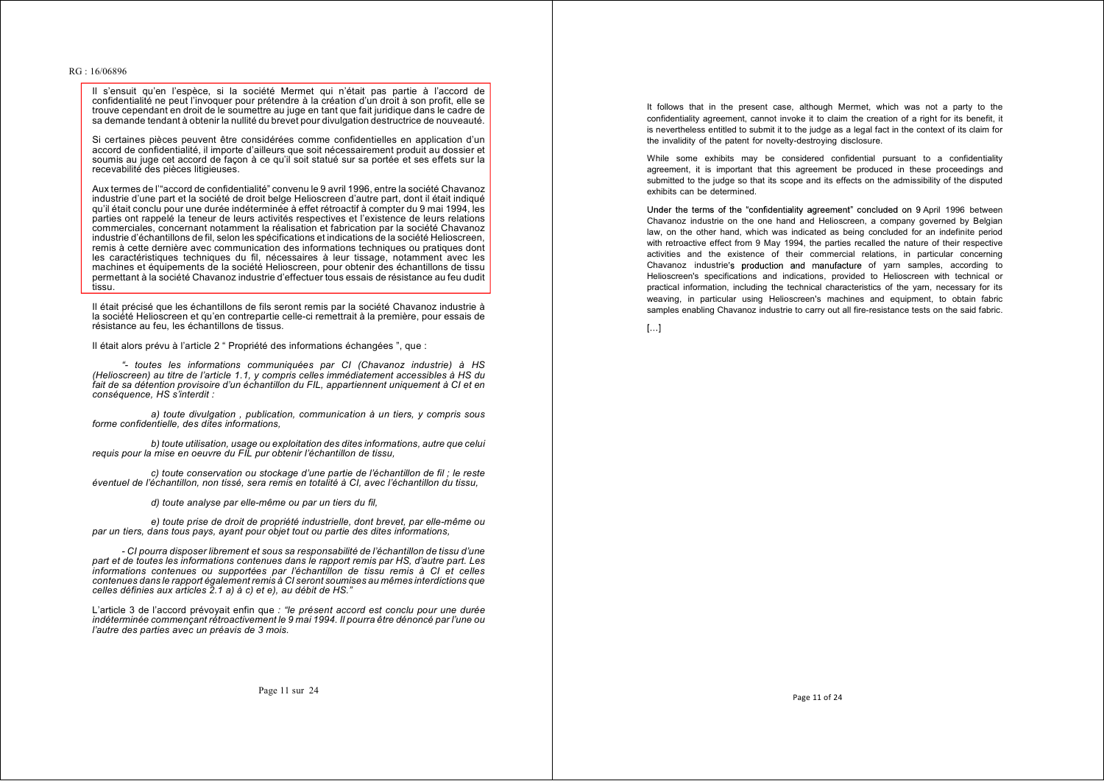Il s'ensuit qu'en l'espèce, si la société Mermet qui n'était pas partie à l'accord de confidentialité ne peut l'invoquer pour prétendre à la création d'un droit à son profit, elle se trouve cependant en droit de le soumettre au juge en tant que fait juridique dans le cadre de sa demande tendant à obtenir la nullité du brevet pour divulgation destructrice de nouveauté.

Si certaines pièces peuvent être considérées comme confidentielles en application d'un accord de confidentialité, il importe d'ailleurs que soit nécessairement produit au dossier et soumis au juge cet accord de facon à ce qu'il soit statué sur sa portée et ses effets sur la recevabilité des pièces litigieuses.

Aux termes de l'"accord de confidentialité" convenu le 9 avril 1996, entre la société Chavanoz industrie d'une part et la société de droit belge Helioscreen d'autre part, dont il était indiqué qu'il était conclu pour une durée indéterminée à effet rétroactif à compter du 9 mai 1994, les parties ont rappelé la teneur de leurs activités respectives et l'existence de leurs relations commerciales, concernant notamment la réalisation et fabrication par la société Chavanoz industrie d'échantillons de fil, selon les spécifications et indications de la société Helioscreen, remis à cette dernière avec communication des informations techniques ou pratiques dont les caractéristiques techniques du fil, nécessaires à leur tissage, notamment avec les machines et équipements de la société Helioscreen, pour obtenir des échantillons de tissu permettant à la société Chavanoz industrie d'effectuer tous essais de résistance au feu dudit tissu

Il était précisé que les échantillons de fils seront remis par la société Chavanoz industrie à la société Helioscreen et qu'en contrepartie celle-ci remettrait à la première, pour essais de résistance au feu. les échantillons de tissus.

Il était alors prévu à l'article 2 " Propriété des informations échangées ", que :

"- toutes les informations communiquées par CI (Chavanoz industrie) à HS (Helioscreen) au titre de l'article 1.1, y compris celles immédiatement accessibles à HS du fait de sa détention provisoire d'un échantillon du FIL, appartiennent uniquement à CI et en conséquence, HS s'interdit :

a) toute divulgation, publication, communication à un tiers, y compris sous forme confidentielle, des dites informations.

b) toute utilisation, usage ou exploitation des dites informations, autre que celui requis pour la mise en oeuvre du FIL pur obtenir l'échantillon de tissu.

c) toute conservation ou stockage d'une partie de l'échantillon de fil : le reste éventuel de l'échantillon, non tissé, sera remis en totalité à CI, avec l'échantillon du tissu.

d) toute analyse par elle-même ou par un tiers du fil.

e) toute prise de droit de propriété industrielle, dont brevet, par elle-même ou par un tiers, dans tous pays, ayant pour objet tout ou partie des dites informations,

- CI pourra disposer librement et sous sa responsabilité de l'échantillon de tissu d'une part et de foutes les informations contenues dans le rapport remis par HS, d'autre part, Les informations contenues ou supportées par l'échantillon de tissu remis à CI et celles contenues dans le rapport également remis à CI seront soumises au mêmes interdictions que celles définies aux articles 2.1 a) à c) et e), au débit de HS."

L'article 3 de l'accord prévoyait enfin que : "le présent accord est conclu pour une durée indéterminée commençant rétroactivement le 9 mai 1994. Il pourra être dénoncé par l'une ou l'autre des parties avec un préavis de 3 mois.

It follows that in the present case, although Mermet, which was not a party to the confidentiality agreement, cannot invoke it to claim the creation of a right for its benefit, it is nevertheless entitled to submit it to the judge as a legal fact in the context of its claim for the invalidity of the patent for novelty-destroying disclosure

While some exhibits may be considered confidential pursuant to a confidentiality agreement, it is important that this agreement be produced in these proceedings and submitted to the judge so that its scope and its effects on the admissibility of the disputed exhibits can be determined

Under the terms of the "confidentiality agreement" concluded on 9 April 1996 between Chavanoz industrie on the one hand and Helioscreen, a company governed by Belgian law, on the other hand, which was indicated as being concluded for an indefinite period with retroactive effect from 9 May 1994, the parties recalled the nature of their respective activities and the existence of their commercial relations, in particular concerning Chavanoz industrie's production and manufacture of varn samples, according to Helioscreen's specifications and indications provided to Helioscreen with technical or practical information, including the technical characteristics of the yarn, necessary for its weaving, in particular using Helioscreen's machines and equipment, to obtain fabric samples enabling Chayanoz industrie to carry out all fire-resistance tests on the said fabric

 $\left[ \ldots \right]$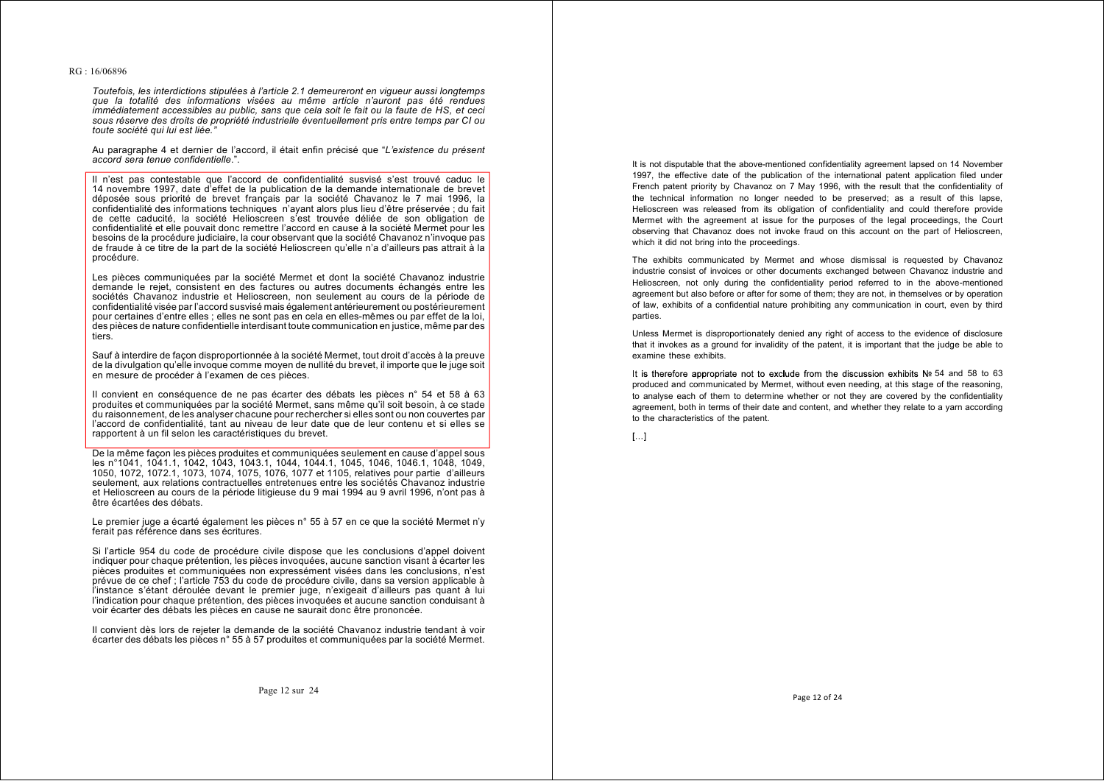Toutefois, les interdictions stipulées à l'article 2.1 demeureront en viqueur aussi longtemps que la totalité des informations visées au même article n'auront pas été rendues immédiatement accessibles au public, sans que cela soit le fait ou la faute de HS, et ceci sous réserve des droits de propriété industrielle éventuellement pris entre temps par CI ou toute société qui lui est liée.'

Au paragraphe 4 et dernier de l'accord, il était enfin précisé que "L'existence du présent accord sera tenue confidentielle."

Il n'est pas contestable que l'accord de confidentialité susvisé s'est trouvé caduc le 14 novembre 1997, date d'effet de la publication de la demande internationale de brevet déposée sous priorité de brevet français par la société Chavanoz le 7 mai 1996, la confidentialité des informations techniques n'ayant alors plus lieu d'être préservée ; du fait de cette caducité. la société Helioscreen s'est trouvée déliée de son obligation de confidentialité et elle pouvait donc remettre l'accord en cause à la société Mermet pour les besoins de la procédure judiciaire, la cour observant que la société Chavanoz n'invoque pas de fraude à ce titre de la part de la société Helioscreen qu'elle n'a d'ailleurs pas attrait à la procédure.

Les pièces communiquées par la société Mermet et dont la société Chavanoz industrie demande le rejet consistent en des factures ou autres documents échangés entre les sociétés Chavanoz industrie et Helioscreen, non seulement au cours de la période de confidentialité visée par l'accord susvisé mais également antérieurement ou postérieurement pour certaines d'entre elles : elles ne sont pas en cela en elles-mêmes ou par effet de la loi. des pièces de nature confidentielle interdisant toute communication en justice, même par des tiers.

Sauf à interdire de facon disproportionnée à la société Mermet, tout droit d'accès à la preuve de la divulgation qu'elle invoque comme moyen de nullité du brevet, il importe que le juge soit en mesure de procéder à l'examen de ces pièces.

Il convient en conséquence de ne pas écarter des débats les pièces n° 54 et 58 à 63 produites et communiquées par la société Mermet, sans même qu'il soit besoin, à ce stade du raisonnement, de les analyser chacune pour rechercher si elles sont ou non couvertes par l'accord de confidentialité, tant au niveau de leur date que de leur contenu et si elles se rapportent à un fil selon les caractéristiques du brevet.

De la même façon les pièces produites et communiquées seulement en cause d'appel sous les n°1041, 1041.1, 1042, 1043, 1043.1, 1044, 1044.1, 1045, 1046, 1046.1, 1048, 1049. 1050, 1072, 1072.1, 1073, 1074, 1075, 1076, 1077 et 1105, relatives pour partie d'ailleurs seulement, aux relations contractuelles entretenues entre les sociétés Chavanoz industrie et Helioscreen au cours de la période litigieuse du 9 mai 1994 au 9 avril 1996, n'ont pas à être écartées des débats.

Le premier juge a écarté également les pièces n° 55 à 57 en ce que la société Mermet n'v ferait pas référence dans ses écritures

Si l'article 954 du code de procédure civile dispose que les conclusions d'appel doivent indiquer pour chaque prétention. les pièces invoquées, aucune sanction visant à écarter les pièces produites et communiquées non expressément visées dans les conclusions, n'est prévue de ce chef : l'article 753 du code de procédure civile, dans sa version applicable à l'instance s'étant déroulée devant le premier juge, n'exigeait d'ailleurs pas quant à lui l'indication pour chaque prétention, des pièces invoquées et aucune sanction conduisant à voir écarter des débats les pièces en cause ne saurait donc être prononcée.

Il convient dès lors de rejeter la demande de la société Chavanoz industrie tendant à voir écarter des débats les pièces n° 55 à 57 produites et communiquées par la société Mermet.

It is not disputable that the above-mentioned confidentiality agreement lapsed on 14 November 1997, the effective date of the publication of the international patent application filed under French patent priority by Chavanoz on 7 May 1996, with the result that the confidentiality of the technical information no longer needed to be preserved; as a result of this lapse, Helioscreen was released from its obligation of confidentiality and could therefore provide Mermet with the agreement at issue for the purposes of the legal proceedings, the Court observing that Chavanoz does not invoke fraud on this account on the part of Helioscreen. which it did not bring into the proceedings.

The exhibits communicated by Mermet and whose dismissal is requested by Chayanoz industrie consist of invoices or other documents exchanged between Chayanoz industrie and Helioscreen, not only during the confidentiality period referred to in the above-mentioned agreement but also before or after for some of them; they are not, in themselves or by operation of law, exhibits of a confidential nature prohibiting any communication in court, even by third parties

Unless Mermet is disproportionately denied any right of access to the evidence of disclosure that it invokes as a ground for invalidity of the patent, it is important that the judge be able to examine these exhibits

It is therefore appropriate not to exclude from the discussion exhibits  $N<sup>2</sup> 54$  and 58 to 63 produced and communicated by Mermet, without even needing, at this stage of the reasoning. to analyse each of them to determine whether or not they are covered by the confidentiality agreement, both in terms of their date and content, and whether they relate to a yarn according to the characteristics of the patent.

 $L.1$ 

Page 12 sur 24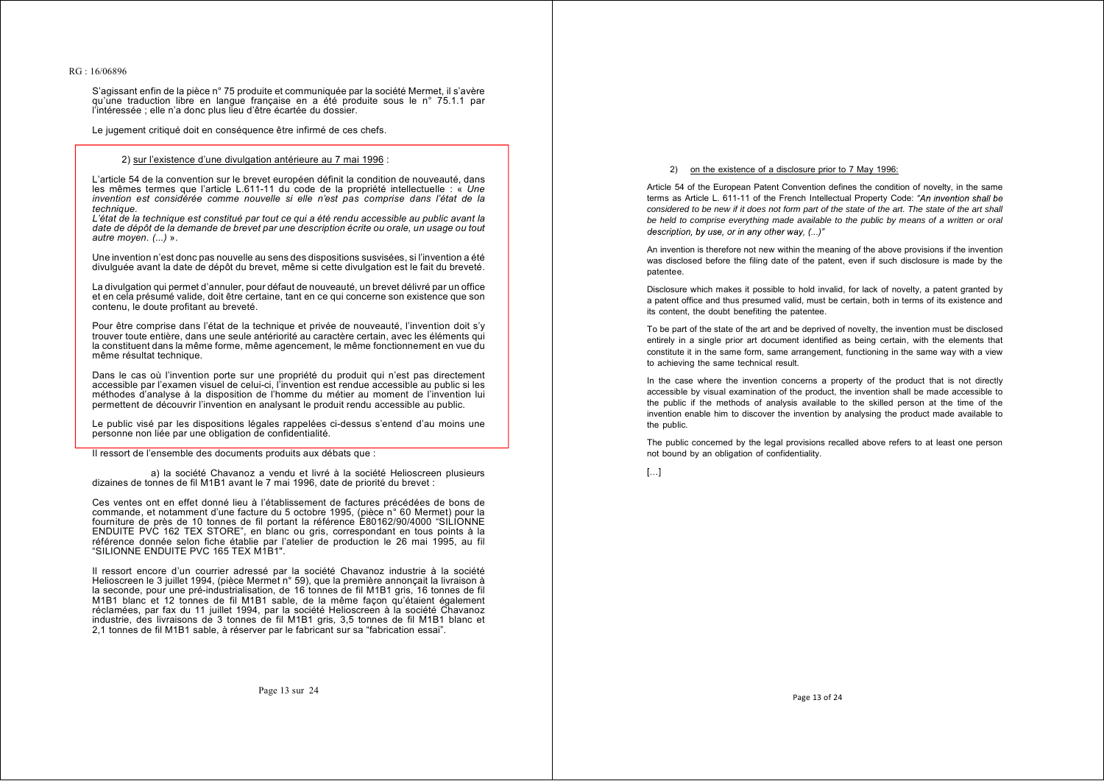S'agissant enfin de la pièce n° 75 produite et communiquée par la société Mermet, il s'avère qu'une traduction libre en langue française en a été produite sous le n° 75.1.1 par l'intéressée ; elle n'a donc plus lieu d'être écartée du dossier.

Le jugement critiqué doit en conséquence être infirmé de ces chefs.

## 2) sur l'existence d'une divulgation antérieure au 7 mai 1996 :

L'article 54 de la convention sur le brevet européen définit la condition de nouveauté, dans les mêmes termes que l'article L.611-11 du code de la propriété intellectuelle : « Une invention est considérée comme nouvelle si elle n'est pas comprise dans l'état de la technique.

L'état de la technique est constitué par tout ce qui a été rendu accessible au public avant la date de dépôt de la demande de brevet par une description écrite ou orale, un usage ou tout autre moven.  $(...)$  ».

Une invention n'est donc pas nouvelle au sens des dispositions susvisées, si l'invention a été divulguée avant la date de dépôt du brevet, même si cette divulgation est le fait du breveté.

La divulgation qui permet d'annuler, pour défaut de nouveauté, un brevet délivré par un office et en cela présumé valide, doit être certaine, tant en ce qui concerne son existence que son contenu le doute profitant au breveté

Pour être comprise dans l'état de la technique et privée de nouveauté. l'invention doit s'v trouver toute entière, dans une seule antériorité au caractère certain, avec les éléments qui la constituent dans la même forme, même agencement, le même fonctionnement en vue du même résultat technique.

Dans le cas où l'invention porte sur une propriété du produit qui n'est pas directement accessible par l'examen visuel de celui-ci. l'invention est rendue accessible au public si les méthodes d'analyse à la disposition de l'homme du métier au moment de l'invention lui permettent de découvrir l'invention en analysant le produit rendu accessible au public.

Le public visé par les dispositions légales rappelées ci-dessus s'entend d'au moins une personne non liée par une obligation de confidentialité.

Il ressort de l'ensemble des documents produits aux débats que :

a) la société Chavanoz a vendu et livré à la société Helioscreen plusieurs dizaines de tonnes de fil M1B1 avant le 7 mai 1996, date de priorité du brevet :

Ces ventes ont en effet donné lieu à l'établissement de factures précédées de bons de commande, et notamment d'une facture du 5 octobre 1995, (pièce n° 60 Mermet) pour la fourniture de près de 10 tonnes de fil portant la référence E80162/90/4000 "SILIONNE ENDUITE PVC 162 TEX STORE", en blanc ou gris, correspondant en tous points à la référence donnée selon fiche établie par l'atelier de production le 26 mai 1995, au fil "SILIONNE ENDUITE PVC 165 TEX M1B1"

Il ressort encore d'un courrier adressé par la société Chavanoz industrie à la société Helioscreen le 3 juillet 1994, (pièce Mermet n° 59), que la première annoncait la livraison à la seconde, pour une pré-industrialisation, de 16 tonnes de fil M1B1 gris. 16 tonnes de fil M1B1 blanc et 12 tonnes de fil M1B1 sable, de la même façon qu'étaient également réclamées, par fax du 11 juillet 1994, par la société Helioscreen à la société Chavanoz industrie, des livraisons de 3 tonnes de fil M1B1 gris, 3,5 tonnes de fil M1B1 blanc et 2,1 tonnes de fil M1B1 sable, à réserver par le fabricant sur sa "fabrication essai".

## 2) on the existence of a disclosure prior to 7 May 1996:

Article 54 of the European Patent Convention defines the condition of novelty, in the same terms as Article L, 611-11 of the French Intellectual Property Code: "An invention shall be considered to be new if it does not form part of the state of the art. The state of the art shall be held to comprise everything made available to the public by means of a written or oral description, by use, or in any other way,  $(...)$ "

An invention is therefore not new within the meaning of the above provisions if the invention was disclosed before the filing date of the patent, even if such disclosure is made by the natentee

Disclosure which makes it possible to hold invalid, for lack of novelty, a patent granted by a patent office and thus presumed valid, must be certain, both in terms of its existence and its content, the doubt benefiting the patentee.

To be part of the state of the art and be deprived of novelty, the invention must be disclosed entirely in a single prior art document identified as being certain, with the elements that constitute it in the same form, same arrangement, functioning in the same way with a view to achieving the same technical result.

In the case where the invention concerns a property of the product that is not directly accessible by visual examination of the product, the invention shall be made accessible to the public if the methods of analysis available to the skilled person at the time of the invention enable him to discover the invention by analysing the product made available to the public.

The public concerned by the legal provisions recalled above refers to at least one person not bound by an obligation of confidentiality.

 $[\ldots]$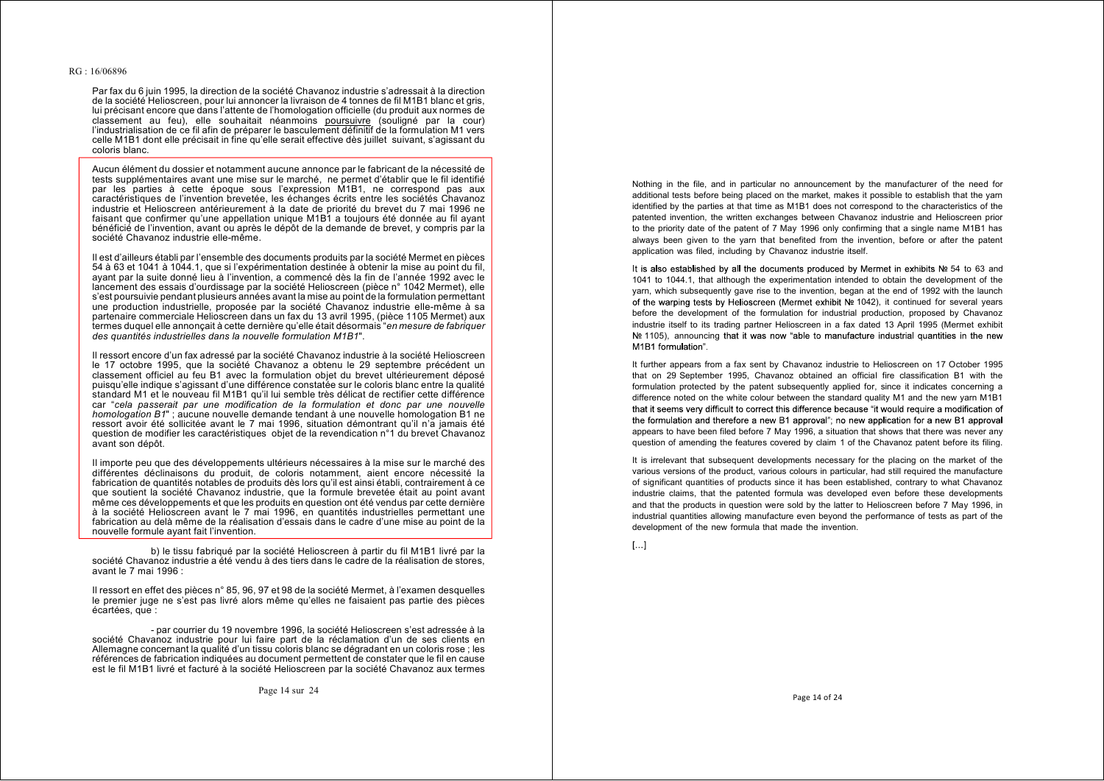Par fax du 6 juin 1995, la direction de la société Chavanoz industrie s'adressait à la direction de la société Helioscreen, pour lui annoncer la livraison de 4 tonnes de fil M1B1 blanc et gris, lui précisant encore que dans l'attente de l'homologation officielle (du produit aux normes de classement au feu), elle souhaitait néanmoins poursuivre (souligné par la cour) l'industrialisation de ce fil afin de préparer le basculement définitif de la formulation M1 vers celle M1B1 dont elle précisait in fine qu'elle serait effective dès juillet suivant, s'agissant du coloris blanc.

Aucun élément du dossier et notamment aucune annonce par le fabricant de la nécessité de tests supplémentaires avant une mise sur le marché, ne permet d'établir que le fil identifié par les parties à cette époque sous l'expression M1B1, ne correspond pas aux caractéristiques de l'invention brevetée, les échanges écrits entre les sociétés Chavanoz industrie et Helioscreen antérieurement à la date de priorité du brevet du 7 mai 1996 ne faisant que confirmer qu'une appellation unique M1B1 a toujours été donnée au fil avant bénéficié de l'invention, avant ou après le dépôt de la demande de brevet, y compris par la société Chavanoz industrie elle-même.

Il est d'ailleurs établi par l'ensemble des documents produits par la société Mermet en pièces 54 à 63 et 1041 à 1044.1, que si l'expérimentation destinée à obtenir la mise au point du fil. avant par la suite donné lieu à l'invention, a commencé dès la fin de l'année 1992 avec le Jancement des essais d'ourdissage par la société Helioscreen (pièce n° 1042 Mermet), elle s'est poursuivie pendant plusieurs années avant la mise au point de la formulation permettant une production industrielle, proposée par la société Chavanoz industrie elle-même à sa partenaire commerciale Helioscreen dans un fax du 13 avril 1995. (pièce 1105 Mermet) aux termes duquel elle annoncait à cette dernière qu'elle était désormais "en mesure de fabriquer des quantités industrielles dans la nouvelle formulation M1B1".

Il ressort encore d'un fax adressé par la société Chavanoz industrie à la société Helioscreen le 17 octobre 1995, que la société Chavanoz a obtenu le 29 septembre précédent un classement officiel au feu B1 avec la formulation obiet du brevet ultérieurement déposé puisqu'elle indique s'agissant d'une différence constatée sur le coloris blanc entre la qualité standard M1 et le nouveau fil M1B1 qu'il lui semble très délicat de rectifier cette différence car "cela passerait par une modification de la formulation et donc par une nouvelle homologation B1"; aucune nouvelle demande tendant à une nouvelle homologation B1 ne ressort avoir été sollicitée avant le 7 mai 1996, situation démontrant qu'il n'a jamais été question de modifier les caractéristiques objet de la revendication n°1 du brevet Chavanoz avant son dépôt.

Il importe peu que des développements ultérieurs nécessaires à la mise sur le marché des différentes déclinaisons du produit, de coloris notamment, aient encore nécessité la fabrication de quantités notables de produits dès lors qu'il est ainsi établi, contrairement à ce que soutient la société Chavanoz industrie, que la formule brevetée était au point avant même ces développements et que les produits en question ont été vendus par cette dernière à la société Helioscreen avant le 7 mai 1996, en quantités industrielles permettant une fabrication au delà même de la réalisation d'essais dans le cadre d'une mise au point de la nouvelle formule avant fait l'invention

b) le tissu fabriqué par la société Helioscreen à partir du fil M1B1 livré par la société Chavanoz industrie a été vendu à des tiers dans le cadre de la réalisation de stores avant le 7 mai 1996 ·

Il ressort en effet des pièces n° 85, 96, 97 et 98 de la société Mermet, à l'examen desquelles le premier juge ne s'est pas livré alors même qu'elles ne faisaient pas partie des pièces écartées que :

- par courrier du 19 novembre 1996, la société Helioscreen s'est adressée à la société Chavanoz industrie pour lui faire part de la réclamation d'un de ses clients en Allemagne concernant la qualité d'un tissu coloris blanc se dégradant en un coloris rose : les références de fabrication indiquées au document permettent de constater que le fil en cause est le fil M1B1 livré et facturé à la société Helioscreen par la société Chavanoz aux termes

Page 14 sur 24

Nothing in the file, and in particular no announcement by the manufacturer of the need for additional tests before being placed on the market, makes it possible to establish that the varn identified by the parties at that time as M1B1 does not correspond to the characteristics of the patented invention, the written exchanges between Chavanoz industrie and Helioscreen prior to the priority date of the patent of 7 May 1996 only confirming that a single name M1B1 has always been given to the varn that benefited from the invention, before or after the patent application was filed including by Chavanoz industrie itself

It is also established by all the documents produced by Mermet in exhibits № 54 to 63 and 1041 to 1044.1, that although the experimentation intended to obtain the development of the yarn, which subsequently gave rise to the invention, began at the end of 1992 with the launch of the warping tests by Helioscreen (Mermet exhibit № 1042), it continued for several years before the development of the formulation for industrial production, proposed by Chavanoz industrie itself to its trading partner Helioscreen in a fax dated 13 April 1995 (Mermet exhibit Nº 1105), announcing that it was now "able to manufacture industrial quantities in the new M<sub>1</sub>R<sub>1</sub> formulation"

It further appears from a fax sent by Chavanoz industrie to Helioscreen on 17 October 1995 that on 29 September 1995. Chavanoz obtained an official fire classification B1 with the formulation protected by the patent subsequently applied for, since it indicates concerning a difference noted on the white colour between the standard quality M1 and the new varn M1B1 that it seems very difficult to correct this difference because "it would require a modification of the formulation and therefore a new B1 approval"; no new application for a new B1 approval appears to have been filed before 7 May 1996, a situation that shows that there was never any question of amending the features covered by claim 1 of the Chayanoz patent before its filing

It is irrelevant that subsequent developments necessary for the placing on the market of the various versions of the product, various colours in particular, had still required the manufacture of significant quantities of products since it has been established, contrary to what Chavanoz industrie claims, that the patented formula was developed even before these developments and that the products in question were sold by the latter to Helioscreen before 7 May 1996, in industrial quantities allowing manufacture even beyond the performance of tests as part of the development of the new formula that made the invention

 $[...]$ 

Page 14 of 24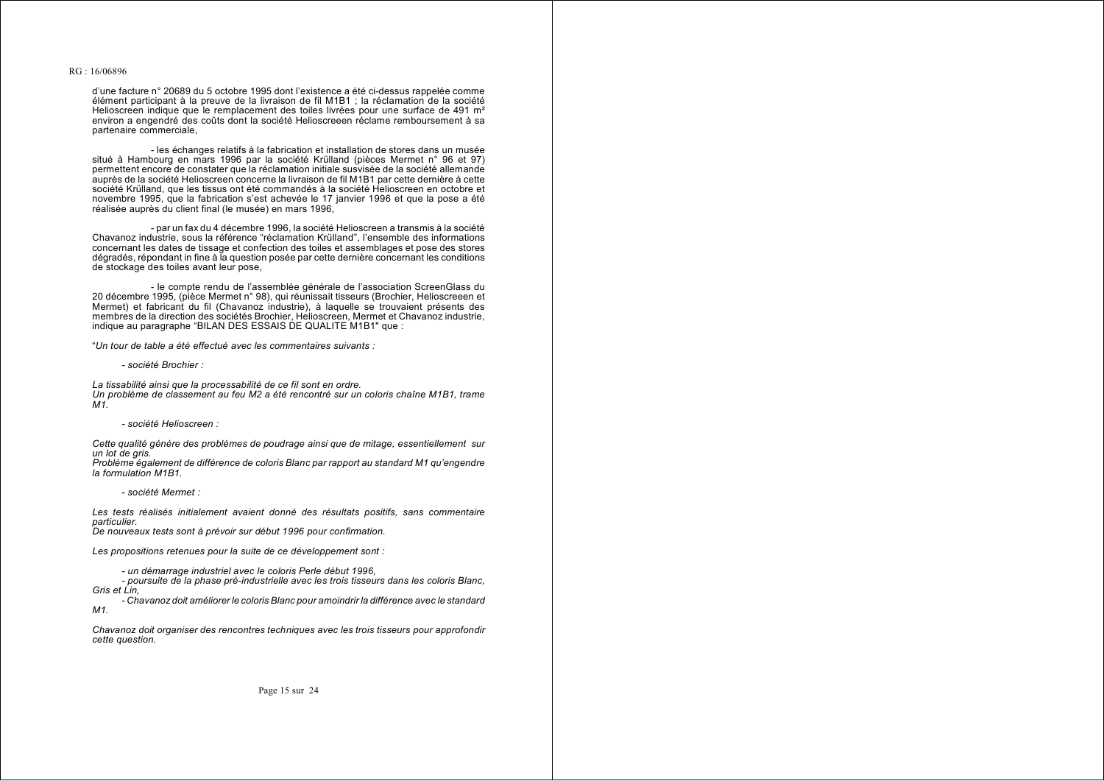d'une facture n° 20689 du 5 octobre 1995 dont l'existence a été ci-dessus rappelée comme élément participant à la preuve de la livraison de fil M1B1 ; la réclamation de la société Helioscreen indique que le remplacement des toiles livrées pour une surface de 491 m<sup>2</sup> environ a engendré des coûts dont la société Helioscreeen réclame remboursement à sa partenaire commerciale.

- les échanges relatifs à la fabrication et installation de stores dans un musée situé à Hambourg en mars 1996 par la société Krülland (pièces Mermet n° 96 et 97) permettent encore de constater que la réclamation initiale susvisée de la société allemande auprès de la société Helioscreen concerne la livraison de fil M1B1 par cette dernière à cette société Krülland, que les tissus ont été commandés à la société Helioscreen en octobre et novembre 1995, que la fabrication s'est achevée le 17 janvier 1996 et que la pose a été réalisée auprès du client final (le musée) en mars 1996,

- par un fax du 4 décembre 1996, la société Helioscreen a transmis à la société Chavanoz industrie, sous la référence "réclamation Krülland", l'ensemble des informations concernant les dates de tissage et confection des toiles et assemblages et pose des stores dégradés, répondant in fine à la question posée par cette dernière concernant les conditions de stockage des toiles avant leur pose.

- le compte rendu de l'assemblée générale de l'association ScreenGlass du 20 décembre 1995, (pièce Mermet n° 98), qui réunissait tisseurs (Brochier, Helioscreeen et Mermet) et fabricant du fil (Chavanoz industrie), à laquelle se trouvaient présents des membres de la direction des sociétés Brochier. Helioscreen. Mermet et Chavanoz industrie. indique au paragraphe "BILAN DES ESSAIS DE QUALITE M1B1" que :

"Un tour de table a été effectué avec les commentaires suivants :

- société Brochier :

La tissabilité ainsi que la processabilité de ce fil sont en ordre. Un problème de classement au feu M2 a été rencontré sur un coloris chaîne M1B1, trame  $M1$ 

- société Helioscreen :

Cette qualité génère des problèmes de poudrage ainsi que de mitage, essentiellement sur un lot de gris.

Problème également de différence de coloris Blanc par rapport au standard M1 qu'engendre la formulation M1B1.

- société Mermet :

Les tests réalisés initialement avaient donné des résultats positifs, sans commentaire narticulier

De nouveaux tests sont à prévoir sur début 1996 pour confirmation.

Les propositions retenues pour la suite de ce développement sont :

- un démarrage industriel avec le coloris Perle début 1996.

- poursuite de la phase pré-industrielle avec les trois tisseurs dans les coloris Blanc. Gris et Lin.

- Chavanoz doit améliorer le coloris Blanc pour amoindrir la différence avec le standard  $M1$ 

Chavanoz doit organiser des rencontres techniques avec les trois tisseurs pour approfondir cette question.

Page 15 sur 24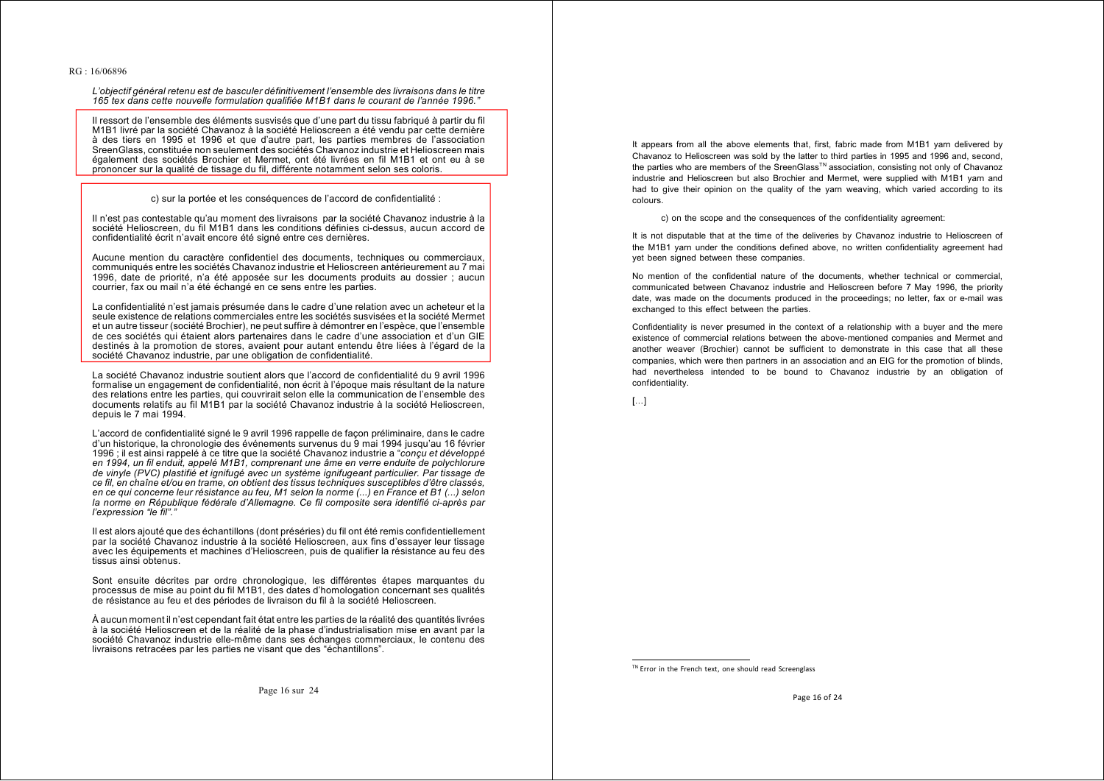L'objectif général retenu est de basculer définitivement l'ensemble des livraisons dans le titre 165 tex dans cette nouvelle formulation qualifiée M1B1 dans le courant de l'année 1996."

Il ressort de l'ensemble des éléments susvisés que d'une part du tissu fabriqué à partir du fil M1B1 livré par la société Chavanoz à la société Helioscreen a été vendu par cette dernière à des tiers en 1995 et 1996 et que d'autre part, les parties membres de l'association SreenGlass, constituée non seulement des sociétés Chavanoz industrie et Helioscreen mais également des sociétés Brochier et Mermet, ont été livrées en fil M1B1 et ont eu à se prononcer sur la qualité de tissage du fil, différente notamment selon ses coloris.

c) sur la portée et les conséquences de l'accord de confidentialité :

Il n'est pas contestable qu'au moment des livraisons par la société Chavanoz industrie à la société Helioscreen, du fil M1B1 dans les conditions définies ci-dessus, aucun accord de confidentialité écrit n'avait encore été signé entre ces dernières.

Aucune mention du caractère confidentiel des documents, techniques ou commerciaux. communiqués entre les sociétés Chavanoz industrie et Helioscreen antérieurement au 7 mai 1996, date de priorité, n'a été apposée sur les documents produits au dossier : aucun courrier, fax ou mail n'a été échangé en ce sens entre les parties

La confidentialité n'est jamais présumée dans le cadre d'une relation avec un acheteur et la seule existence de relations commerciales entre les sociétés susvisées et la société Mermet et un autre tisseur (société Brochier), ne peut suffire à démontrer en l'espèce, que l'ensemble de ces sociétés qui étaient alors partenaires dans le cadre d'une association et d'un GIE destinés à la promotion de stores, avaient pour autant entendu être liées à l'égard de la société Chavanoz industrie, par une obligation de confidentialité.

La société Chavanoz industrie soutient alors que l'accord de confidentialité du 9 avril 1996 formalise un engagement de confidentialité, non écrit à l'époque mais résultant de la nature des relations entre les parties, qui couvrirait selon elle la communication de l'ensemble des documents relatifs au fil M1B1 par la société Chavanoz industrie à la société Helioscreen, depuis le 7 mai 1994.

L'accord de confidentialité signé le 9 avril 1996 rappelle de facon préliminaire, dans le cadre d'un historique, la chronologie des événements survenus du 9 mai 1994 jusqu'au 16 février 1996 ; il est ainsi rappelé à ce titre que la société Chavanoz industrie a "conçu et développé en 1994, un fil enduit, appelé M1B1, comprenant une âme en verre enduite de polychlorure de vinvle (PVC) plastifié et janifugé avec un système janifugeant particulier. Par tissage de ce fil, en chaîne et/ou en trame, on obtient des tissus techniques susceptibles d'être classés, en ce qui concerne leur résistance au feu, M1 selon la norme (...) en France et B1 (...) selon la norme en République fédérale d'Allemagne. Ce fil composité sera identifié ci-après par l'expression "le fil" "

Il est alors ajouté que des échantillons (dont préséries) du fil ont été remis confidentiellement par la société Chavanoz industrie à la société Helioscreen, aux fins d'essayer leur tissage avec les équipements et machines d'Helioscreen, puis de qualifier la résistance au feu des tissus ainsi obtenus

Sont ensuite décrites par ordre chronologique, les différentes étapes marquantes du processus de mise au point du fil M1B1, des dates d'homologation concernant ses qualités de résistance au feu et des périodes de livraison du fil à la société Helioscreen.

À aucun moment il n'est cependant fait état entre les parties de la réalité des quantités livrées à la société Helioscreen et de la réalité de la phase d'industrialisation mise en avant par la société Chavanoz industrie elle-même dans ses échanges commerciaux, le contenu des livraisons retracées par les parties ne visant que des "échantillons".

It appears from all the above elements that, first, fabric made from M1B1 varn delivered by Chavanoz to Helioscreen was sold by the latter to third parties in 1995 and 1996 and, second. the parties who are members of the SreenGlass<sup>TN</sup> association, consisting not only of Chayanoz industrie and Helioscreen but also Brochier and Mermet, were supplied with M1B1 yarn and had to give their opinion on the quality of the yarn weaving, which varied according to its colours

c) on the scope and the consequences of the confidentiality agreement:

It is not disputable that at the time of the deliveries by Chavanoz industrie to Helioscreen of the M1B1 varn under the conditions defined above, no written confidentiality agreement had vet been signed between these companies.

No mention of the confidential nature of the documents, whether technical or commercial. communicated between Chavanoz industrie and Helioscreen before 7 May 1996, the priority date, was made on the documents produced in the proceedings; no letter, fax or e-mail was exchanged to this effect between the parties.

Confidentiality is never presumed in the context of a relationship with a buyer and the mere existence of commercial relations between the above-mentioned companies and Mermet and another weaver (Brochier) cannot be sufficient to demonstrate in this case that all these companies, which were then partners in an association and an EIG for the promotion of blinds, had nevertheless intended to be bound to Chavanoz industrie by an obligation of confidentiality.

 $\left[\ldots\right]$ 

TN Error in the French text, one should read Screenglass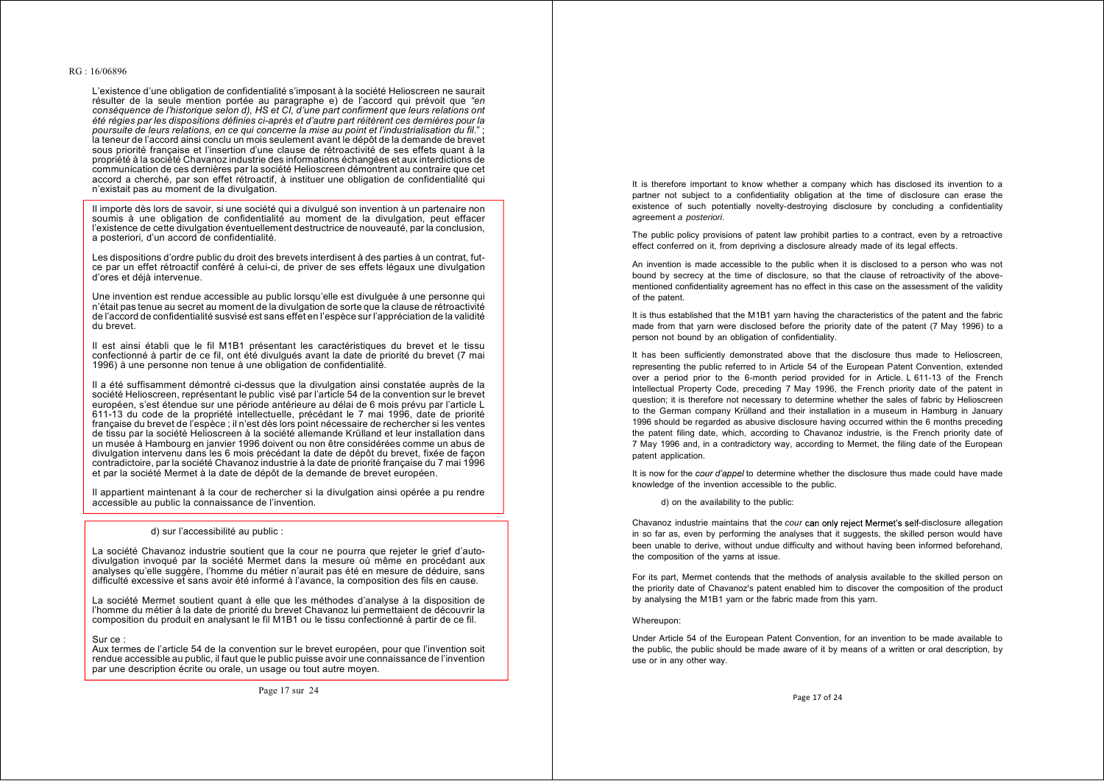L'existence d'une obligation de confidentialité s'imposant à la société Helioscreen ne saurait résulter de la seule mention portée au paragraphe e) de l'accord qui prévoit que "en conséquence de l'historique selon d). HS et Cl, d'une part confirment que leurs relations ont été régies par les dispositions définies ci-après et d'autre part réjtérent ces dernières pour la poursuite de leurs relations, en ce qui concerne la mise au point et l'industrialisation du fil." la teneur de l'accord ainsi conclu un mois seulement avant le dépôt de la demande de brevet sous priorité française et l'insertion d'une clause de rétroactivité de ses effets quant à la propriété à la société Chavanoz industrie des informations échangées et aux interdictions de communication de ces dernières par la société Helioscreen démontrent au contraire que cet accord a cherché, par son effet rétroactif, à instituer une obligation de confidentialité qui n'existait pas au moment de la divulgation.

Il importe dès lors de savoir, si une société qui a divulgué son invention à un partenaire non soumis à une obligation de confidentialité au moment de la divulgation, peut effacer l'existence de cette divulgation éventuellement destructrice de nouveauté, par la conclusion. a posteriori, d'un accord de confidentialité.

Les dispositions d'ordre public du droit des brevets interdisent à des parties à un contrat, futce par un effet rétroactif conféré à celui-ci, de priver de ses effets légaux une divulgation d'ores et déjà intervenue.

Une invention est rendue accessible au public lorsqu'elle est divulguée à une personne qui n'était pas tenue au secret au moment de la divulgation de sorte que la clause de rétroactivité de l'accord de confidentialité susvisé est sans effet en l'espèce sur l'appréciation de la validité du hrevet

Il est ainsi établi que le fil M1B1 présentant les caractéristiques du brevet et le tissu confectionné à partir de ce fil, ont été divulgués avant la date de priorité du brevet (7 mai 1996) à une personne non tenue à une obligation de confidentialité.

Il a été suffisamment démontré ci-dessus que la divulgation ainsi constatée auprès de la société Helioscreen, représentant le public visé par l'article 54 de la convention sur le brevet européen, s'est étendue sur une période antérieure au délai de 6 mois prévu par l'article L 611-13 du code de la propriété intellectuelle, précédant le 7 mai 1996, date de priorité française du brevet de l'espèce : il n'est dès lors point nécessaire de rechercher si les ventes de tissu par la société Helioscreen à la société allemande Krülland et leur installation dans un musée à Hambourg en janvier 1996 doivent ou non être considérées comme un abus de divulgation intervenu dans les 6 mois précédant la date de dépôt du brevet, fixée de façon contradictoire, par la société Chavanoz industrie à la date de priorité française du 7 mai 1996 et par la société Mermet à la date de dépôt de la demande de brevet européen.

Il appartient maintenant à la cour de rechercher si la divulgation ainsi opérée a pu rendre accessible au public la connaissance de l'invention.

### d) sur l'accessibilité au public :

La société Chavanoz industrie soutient que la cour ne pourra que rejeter le grief d'autodivulgation invoqué par la société Mermet dans la mesure où même en procédant aux analyses qu'elle suggère. l'homme du métier n'aurait pas été en mesure de déduire, sans difficulté excessive et sans avoir été informé à l'avance. la composition des fils en cause.

La société Mermet soutient quant à elle que les méthodes d'analyse à la disposition de l'homme du métier à la date de priorité du brevet Chavanoz lui permettaient de découvrir la composition du produit en analysant le fil M1B1 ou le tissu confectionné à partir de ce fil.

## Sur ce:

Aux termes de l'article 54 de la convention sur le brevet européen, pour que l'invention soit rendue accessible au public, il faut que le public puisse avoir une connaissance de l'invention par une description écrite ou orale, un usage ou tout autre moven.

It is therefore important to know whether a company which has disclosed its invention to a partner not subject to a confidentiality obligation at the time of disclosure can erase the existence of such potentially novelty-destroving disclosure by concluding a confidentiality agreement a posteriori

The public policy provisions of patent law probibit parties to a contract even by a retroactive effect conferred on it, from depriving a disclosure already made of its legal effects.

An invention is made accessible to the public when it is disclosed to a person who was not bound by secrecy at the time of disclosure, so that the clause of retroactivity of the abovementioned confidentiality agreement has no effect in this case on the assessment of the validity of the patent.

It is thus established that the M1B1 varn having the characteristics of the patent and the fabric made from that yarn were disclosed before the priority date of the patent (7 May 1996) to a person not bound by an obligation of confidentiality.

It has been sufficiently demonstrated above that the disclosure thus made to Helioscreen, representing the public referred to in Article 54 of the European Patent Convention, extended over a period prior to the 6-month period provided for in Article L 611-13 of the French Intellectual Property Code, preceding 7 May 1996, the French priority date of the patent in question: it is therefore not necessary to determine whether the sales of fabric by Helioscreen to the German company Krülland and their installation in a museum in Hamburg in January 1996 should be regarded as abusive disclosure having occurred within the 6 months preceding the patent filing date, which, according to Chavanoz industrie, is the French priority date of 7 May 1996 and in a contradictory way, according to Mermet, the filing date of the European patent application.

It is now for the *cour d'appel* to determine whether the disclosure thus made could have made knowledge of the invention accessible to the public.

d) on the availability to the public:

Chavanoz industrie maintains that the cour can only reject Mermet's self-disclosure allegation in so far as, even by performing the analyses that it suggests, the skilled person would have been unable to derive, without undue difficulty and without having been informed beforehand, the composition of the varns at issue.

For its part. Mermet contends that the methods of analysis available to the skilled person on the priority date of Chavanoz's patent enabled him to discover the composition of the product by analysing the M1B1 yarn or the fabric made from this yarn.

Whereupon:

Under Article 54 of the European Patent Convention, for an invention to be made available to the public, the public should be made aware of it by means of a written or oral description, by use or in any other way.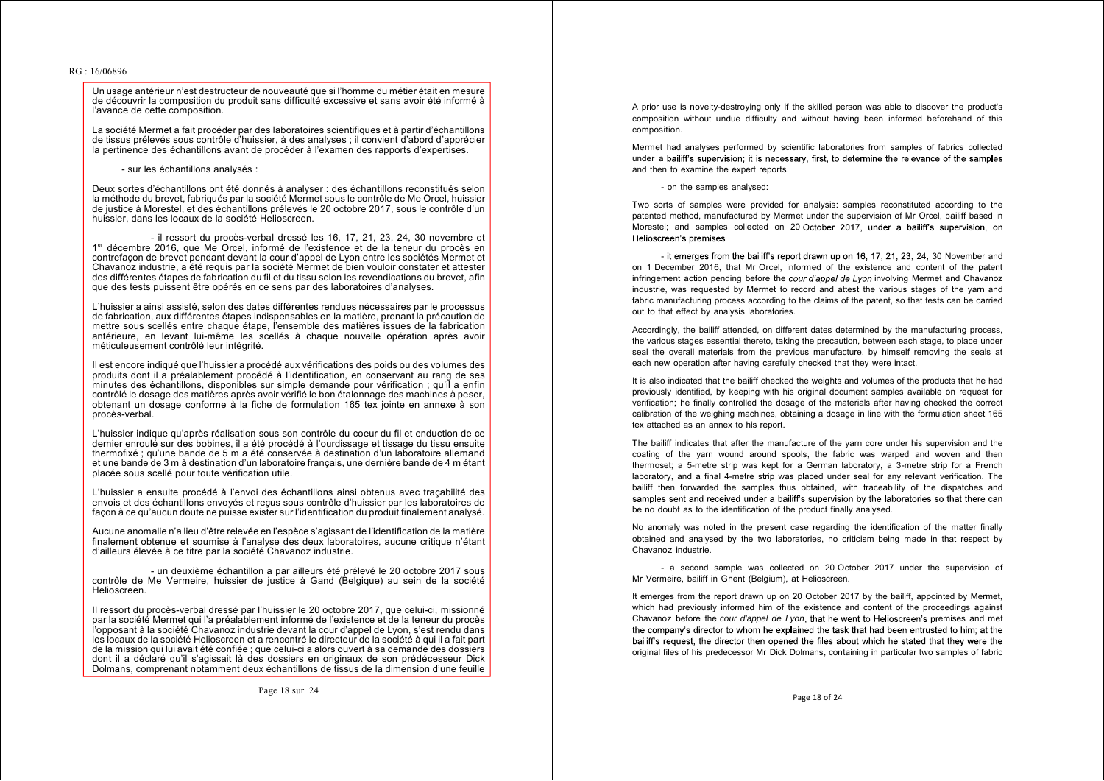Un usage antérieur n'est destructeur de nouveauté que si l'homme du métier était en mesure de découvrir la composition du produit sans difficulté excessive et sans avoir été informé à l'avance de cette composition.

La société Mermet a fait procéder par des laboratoires scientifiques et à partir d'échantillons de tissus prélevés sous contrôle d'huissier, à des analyses : il convient d'abord d'apprécier la pertinence des échantillons avant de procéder à l'examen des rapports d'expertises.

- sur les échantillons analysés :

Deux sortes d'échantillons ont été donnés à analyser : des échantillons reconstitués selon la méthode du brevet, fabriqués par la société Mermet sous le contrôle de Me Orcel, huissier de justice à Morestel, et des échantillons prélevés le 20 octobre 2017, sous le contrôle d'un huissier, dans les locaux de la société Helioscreen.

- il ressort du procès-verbal dressé les 16, 17, 21, 23, 24, 30 novembre et 1<sup>er</sup> décembre 2016, que Me Orcel, informé de l'existence et de la teneur du procès en contrefaçon de brevet pendant devant la cour d'appel de Lyon entre les sociétés Mermet et Chayanoz industrie, a été requis par la société Mermet de bien vouloir constater et attester des différentes étapes de fabrication du fil et du tissu selon les revendications du brevet, afin que des tests puissent être opérés en ce sens par des laboratoires d'analyses

L'huissier a ainsi assisté, selon des dates différentes rendues nécessaires par le processus de fabrication, aux différentes étapes indispensables en la matière, prenant la précaution de mettre sous scellés entre chaque étape. l'ensemble des matières issues de la fabrication antérieure, en levant lui-même les scellés à chaque nouvelle opération après avoir méticuleusement contrôlé leur intégrité.

Il est encore indiqué que l'huissier a procédé aux vérifications des poids ou des volumes des produits dont il a préalablement procédé à l'identification, en conservant au rang de ses minutes des échantillons, disponibles sur simple demande pour vérification : qu'il a enfin contrôlé le dosage des matières après avoir vérifié le bon étalonnage des machines à peser. obtenant un dosage conforme à la fiche de formulation 165 tex jointe en annexe à son procès-verbal.

L'huissier indique qu'après réalisation sous son contrôle du coeur du fil et enduction de ce dernier enroulé sur des bobines, il a été procédé à l'ourdissage et tissage du tissu ensuite thermofixé : qu'une bande de 5 m a été conservée à destination d'un laboratoire allemand et une bande de 3 m à destination d'un laboratoire français, une dernière bande de 4 m étant placée sous scellé pour toute vérification utile.

L'huissier a ensuite procédé à l'envoi des échantillons ainsi obtenus avec traçabilité des envois et des échantillons envoyés et recus sous contrôle d'huissier par les laboratoires de facon à ce qu'aucun doute ne puisse exister sur l'identification du produit finalement analysé.

Aucune anomalie n'a lieu d'être relevée en l'espèce s'agissant de l'identification de la matière finalement obtenue et soumise à l'analyse des deux laboratoires, aucune critique n'étant d'ailleurs élevée à ce titre par la société Chavanoz industrie.

- un deuxième échantillon a par ailleurs été prélevé le 20 octobre 2017 sous contrôle de Me Vermeire, huissier de justice à Gand (Belgique) au sein de la société Helioscreen.

Il ressort du procès-verbal dressé par l'huissier le 20 octobre 2017, que celui-ci, missionné par la société Mermet qui l'a préalablement informé de l'existence et de la teneur du procès l'opposant à la société Chavanoz industrie devant la cour d'appel de Lyon, s'est rendu dans les locaux de la société Helioscreen et a rencontré le directeur de la société à qui il a fait part de la mission qui lui avait été confiée : que celui-ci a alors ouvert à sa demande des dossiers dont il a déclaré qu'il s'agissait là des dossiers en originaux de son prédécesseur Dick Dolmans, comprenant notamment deux échantillons de tissus de la dimension d'une feuille A prior use is novelty-destroving only if the skilled person was able to discover the product's composition without undue difficulty and without having been informed beforehand of this composition.

Mermet had analyses performed by scientific laboratories from samples of fabrics collected under a bailiff's supervision; it is necessary, first, to determine the relevance of the samples and then to examine the expert reports.

- on the samples analysed:

Two sorts of samples were provided for analysis: samples reconstituted according to the patented method, manufactured by Mermet under the supervision of Mr Orcel, bailiff based in Morestel: and samples collected on 20 October 2017, under a bailiff's supervision on Helioscreen's premises.

- it emerges from the bailiff's report drawn up on 16, 17, 21, 23, 24, 30 November and on 1 December 2016, that Mr Orcel, informed of the existence and content of the patent infringement action pending before the cour d'appel de Lyon involving Mermet and Chavanoz industrie, was requested by Mermet to record and attest the various stages of the yarn and fabric manufacturing process according to the claims of the patent, so that tests can be carried out to that effect by analysis laboratories

Accordinaly, the bailiff attended, on different dates determined by the manufacturing process. the various stages essential thereto, taking the precaution, between each stage, to place under seal the overall materials from the previous manufacture, by himself removing the seals at each new operation after having carefully checked that they were intact.

It is also indicated that the bailiff checked the weights and volumes of the products that he had previously identified, by keeping with his original document samples available on request for verification; he finally controlled the dosage of the materials after having checked the correct calibration of the weighing machines, obtaining a dosage in line with the formulation sheet 165 tex attached as an annex to his report.

The bailiff indicates that after the manufacture of the yarn core under his supervision and the coating of the yarn wound around spools, the fabric was warped and woven and then thermoset: a 5-metre strip was kept for a German laboratory, a 3-metre strip for a French laboratory, and a final 4-metre strip was placed under seal for any relevant verification. The bailiff then forwarded the samples thus obtained, with traceability of the dispatches and samples sent and received under a bailiff's supervision by the laboratories so that there can be no doubt as to the identification of the product finally analysed.

No anomaly was noted in the present case regarding the identification of the matter finally obtained and analysed by the two laboratories, no criticism being made in that respect by Chavanoz industrie.

- a second sample was collected on 20 October 2017 under the supervision of Mr Vermeire, bailiff in Ghent (Belgium), at Helioscreen.

It emerges from the report drawn up on 20 October 2017 by the bailiff, appointed by Mermet. which had previously informed him of the existence and content of the proceedings against Chavanoz before the cour d'appel de Lyon, that he went to Helioscreen's premises and met the company's director to whom he explained the task that had been entrusted to him: at the bailiff's request, the director then opened the files about which he stated that they were the original files of his predecessor Mr Dick Dolmans, containing in particular two samples of fabric

Page 18 sur 24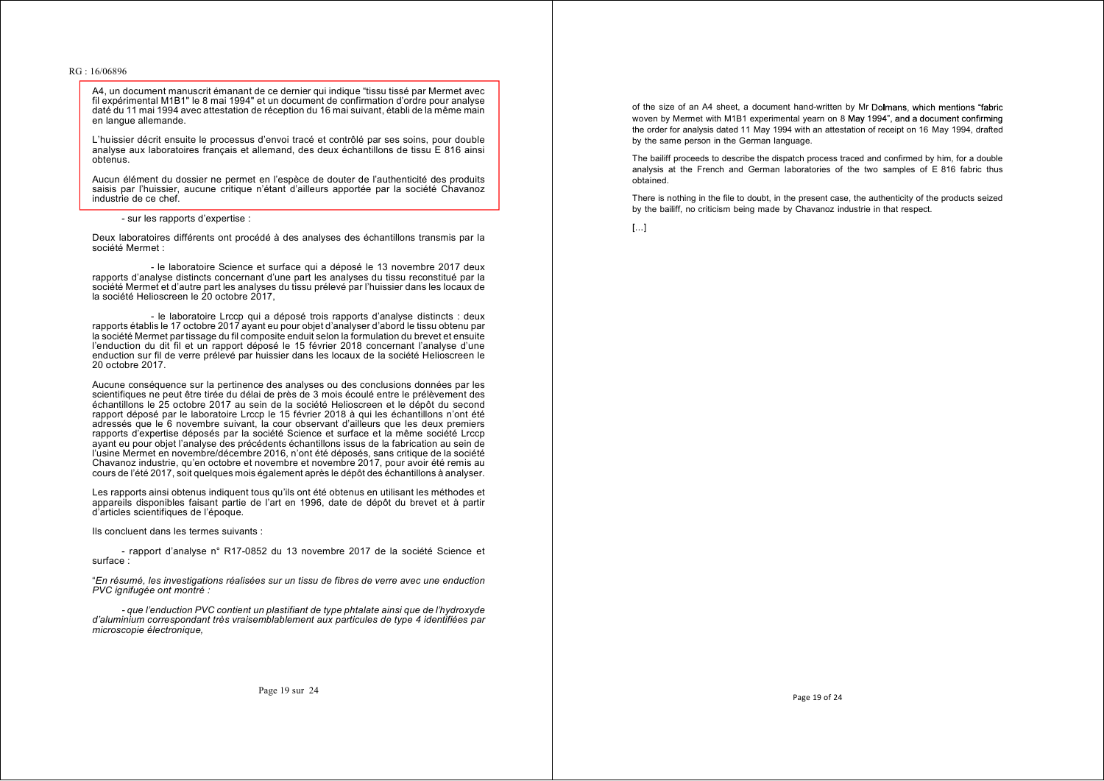A4, un document manuscrit émanant de ce dernier qui indique "tissu tissé par Mermet avec fil expérimental M1B1" le 8 mai 1994" et un document de confirmation d'ordre pour analyse daté du 11 mai 1994 avec attestation de réception du 16 mai suivant, établi de la même main en langue allemande.

L'huissier décrit ensuite le processus d'envoi tracé et contrôlé par ses soins, pour double analyse aux laboratoires français et allemand, des deux échantillons de tissu E 816 ainsi obtenus.

Aucun élément du dossier ne permet en l'espèce de douter de l'authenticité des produits saisis par l'huissier, aucune critique n'étant d'ailleurs apportée par la société Chavanoz industrie de ce chef.

- sur les rapports d'expertise :

Deux laboratoires différents ont procédé à des analyses des échantillons transmis par la société Mermet :

- le laboratoire Science et surface qui a déposé le 13 novembre 2017 deux rapports d'analyse distincts concernant d'une part les analyses du tissu reconstitué par la société Mermet et d'autre part les analyses du tissu prélevé par l'huissier dans les locaux de la société Helioscreen le 20 octobre 2017.

- le laboratoire Lrccp qui a déposé trois rapports d'analyse distincts : deux rapports établis le 17 octobre 2017 avant eu pour objet d'analyser d'abord le tissu obtenu par la société Mermet par tissage du fil composite enduit selon la formulation du brevet et ensuite l'enduction du dit fil et un rapport déposé le 15 février 2018 concernant l'analyse d'une enduction sur fil de verre prélevé par huissier dans les locaux de la société Helioscreen le 20 octobre 2017.

Aucune conséquence sur la pertinence des analyses ou des conclusions données par les scientifiques ne peut être tirée du délai de près de 3 mois écoulé entre le prélèvement des échantillons le 25 octobre 2017 au sein de la société Helioscreen et le dépôt du second rapport déposé par le laboratoire Lrccp le 15 février 2018 à qui les échantillons n'ont été adressés que le 6 novembre suivant, la cour observant d'ailleurs que les deux premiers rapports d'expertise déposés par la société Science et surface et la même société Lrccp ayant eu pour objet l'analyse des précédents échantillons issus de la fabrication au sein de l'usine Mermet en novembre/décembre 2016, n'ont été déposés, sans critique de la société Chavanoz industrie, qu'en octobre et novembre et novembre 2017, pour avoir été remis au cours de l'été 2017, soit quelques mois également après le dépôt des échantillons à analyser.

Les rapports ainsi obtenus indiquent tous qu'ils ont été obtenus en utilisant les méthodes et appareils disponibles faisant partie de l'art en 1996, date de dépôt du brevet et à partir d'articles scientifiques de l'époque

Ils concluent dans les termes suivants :

- rapport d'analyse n° R17-0852 du 13 novembre 2017 de la société Science et surface :

"En résumé, les investigations réalisées sur un tissu de fibres de verre avec une enduction PVC janifugée ont montré:

- que l'enduction PVC contient un plastifiant de type phtalate ainsi que de l'hydroxyde d'aluminium correspondant très vraisemblablement aux particules de type 4 identifiées par microscopie électronique.

of the size of an A4 sheet, a document hand-written by Mr Dolmans, which mentions "fabric woven by Mermet with M1B1 experimental yearn on 8 May 1994", and a document confirming the order for analysis dated 11 May 1994 with an attestation of receipt on 16 May 1994, drafted by the same person in the German language

The bailiff proceeds to describe the dispatch process traced and confirmed by him, for a double analysis at the French and German laboratories of the two samples of E 816 fabric thus obtained

There is nothing in the file to doubt, in the present case, the authenticity of the products seized by the bailiff, no criticism being made by Chavanoz industrie in that respect.

 $L.1$ 

Page 19 sur 24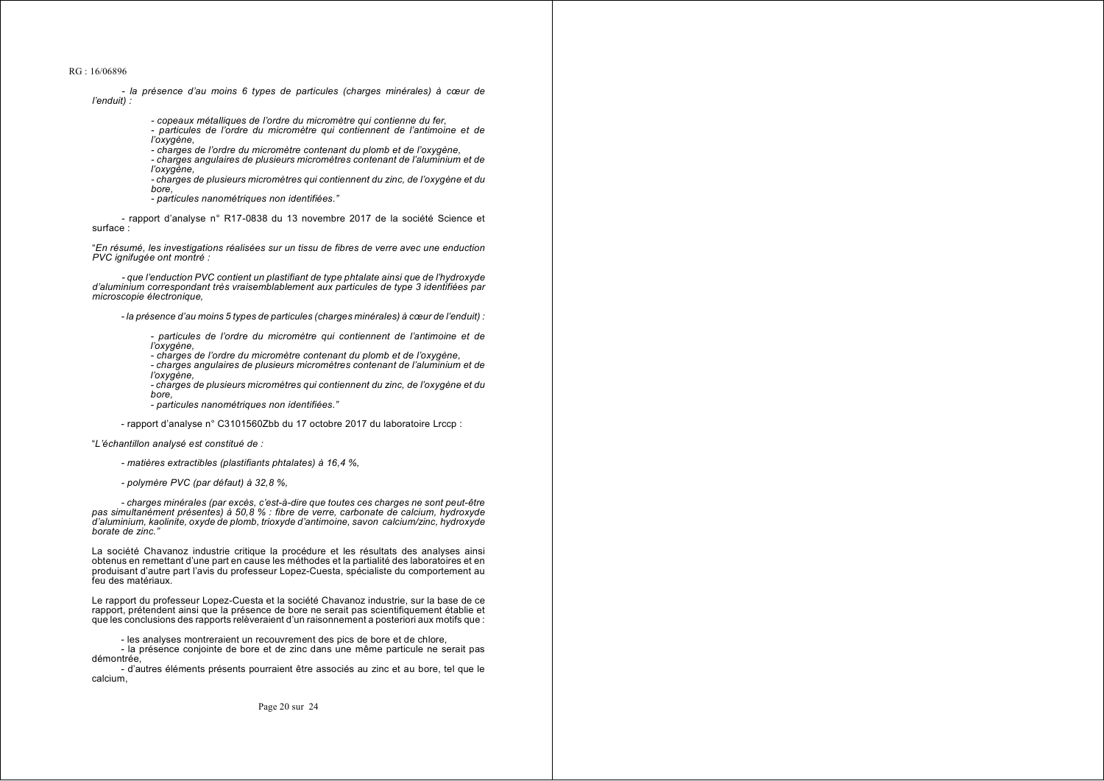- la présence d'au moins 6 types de particules (charges minérales) à cœur de l'enduit) :

- copeaux métalliques de l'ordre du micromètre qui contienne du fer.

- particules de l'ordre du micromètre qui contiennent de l'antimoine et de l'oxvaène.

- charges de l'ordre du micromètre contenant du plomb et de l'oxygène.

- charges angulaires de plusieurs micromètres contenant de l'aluminium et de l'oxygène,

- charges de plusieurs micromètres qui contiennent du zinc, de l'oxygène et du bore.

- particules nanométriques non identifiées."

- rapport d'analyse n° R17-0838 du 13 novembre 2017 de la société Science et surface:

"En résumé, les investigations réalisées sur un tissu de fibres de verre avec une enduction PVC ignifugée ont montré :

- que l'enduction PVC contient un plastifiant de type phtalate ainsi que de l'hydroxyde d'aluminium correspondant très vraisemblablement aux particules de type 3 identifiées par microscopie électronique.

- la présence d'au moins 5 types de particules (charges minérales) à cœur de l'enduit) :

- particules de l'ordre du micromètre qui contiennent de l'antimoine et de l'oxvaène.

- charges de l'ordre du micromètre contenant du plomb et de l'oxygène.

- charges angulaires de plusieurs micromètres contenant de l'aluminium et de l'oxvaène.

- charges de plusieurs micromètres qui contiennent du zinc, de l'oxygène et du bore.

- particules nanométriques non identifiées."

- rapport d'analyse n° C3101560Zbb du 17 octobre 2017 du laboratoire Lrccp :

"L'échantillon analysé est constitué de :

- matières extractibles (plastifiants phtalates) à 16,4 %,

- polymère PVC (par défaut) à 32,8 %,

- charges minérales (par excès, c'est-à-dire que toutes ces charges ne sont peut-être pas simultanément présentes) à 50.8 % : fibre de verre, carbonate de calcium, hydroxyde d'aluminium, kaolinite, oxyde de plomb, trioxyde d'antimoine, savon, calcium/zinc, hydroxyde borate de zinc."

La société Chavanoz industrie critique la procédure et les résultats des analyses ainsi obtenus en remettant d'une part en cause les méthodes et la partialité des laboratoires et en produisant d'autre part l'avis du professeur Lopez-Cuesta, spécialiste du comportement au feu des matériaux.

Le rapport du professeur Lopez-Cuesta et la société Chavanoz industrie, sur la base de ce rapport, prétendent ainsi que la présence de bore ne serait pas scientifiquement établie et que les conclusions des rapports relèveraient d'un raisonnement a posteriori aux motifs que :

- les analyses montreraient un recouvrement des pics de bore et de chlore,

- la présence conjointe de bore et de zinc dans une même particule ne serait pas démontrée.

- d'autres éléments présents pourraient être associés au zinc et au bore, tel que le calcium.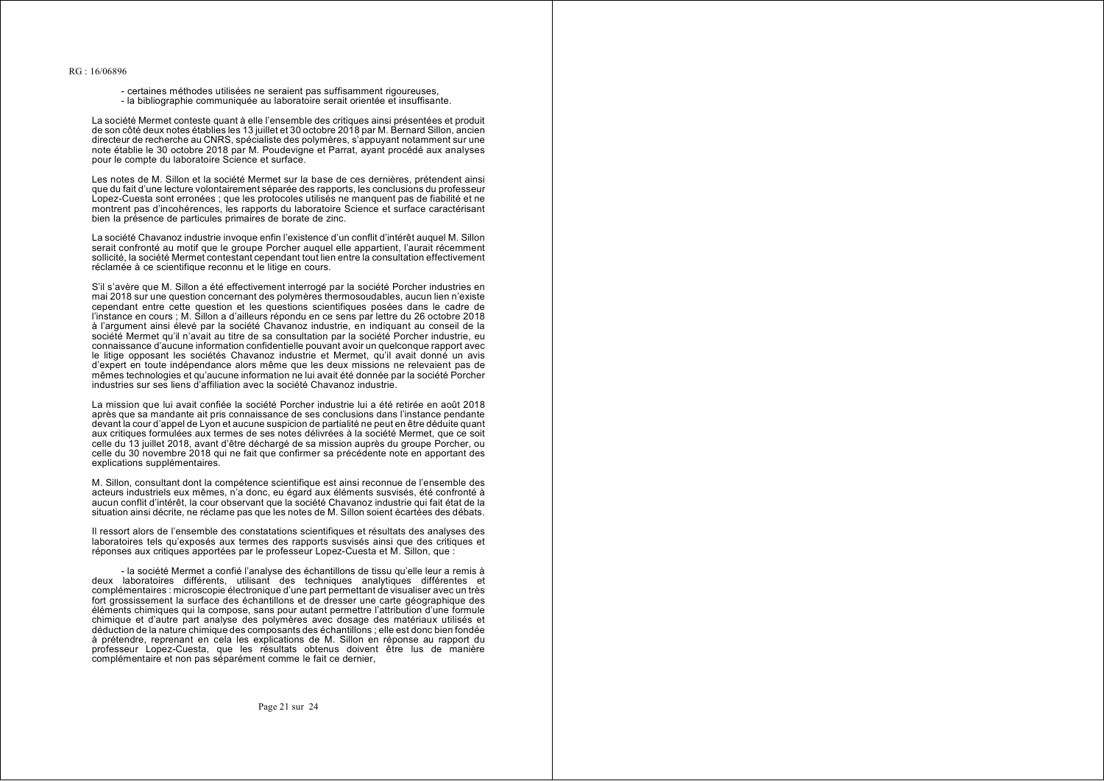- certaines méthodes utilisées ne seraient pas suffisamment rigoureuses.
- la bibliographie communiquée au laboratoire serait orientée et insuffisante.

La société Mermet conteste quant à elle l'ensemble des critiques ainsi présentées et produit de son côté deux notes établies les 13 juillet et 30 octobre 2018 par M. Bernard Sillon, ancien directeur de recherche au CNRS, spécialiste des polymères, s'appuyant notamment sur une note établie le 30 octobre 2018 par M. Poudevigne et Parrat, avant procédé aux analyses pour le compte du laboratoire Science et surface.

Les notes de M. Sillon et la société Mermet sur la base de ces dernières, prétendent ainsi que du fait d'une lecture volontairement séparée des rapports, les conclusions du professeur Lopez-Cuesta sont erronées : que les protocoles utilisés ne manquent pas de fiabilité et ne montrent pas d'incohérences, les rapports du laboratoire Science et surface caractérisant bien la présence de particules primaires de borate de zinc.

La société Chavanoz industrie invoque enfin l'existence d'un conflit d'intérêt auquel M. Sillon serait confronté au motif que le groupe Porcher auquel elle appartient, l'aurait récemment sollicité, la société Mermet contestant cependant tout lien entre la consultation effectivement réclamée à ce scientifique reconnu et le litige en cours.

S'il s'avère que M, Sillon a été effectivement interrogé par la société Porcher industries en mai 2018 sur une question concernant des polymères thermosoudables, aucun lien n'existe cependant entre cette question et les questions scientifiques posées dans le cadre de l'instance en cours : M. Sillon a d'ailleurs répondu en ce sens par lettre du 26 octobre 2018 à l'argument ainsi élevé par la société Chavanoz industrie, en indiquant au conseil de la société Mermet qu'il n'avait au titre de sa consultation par la société Porcher industrie, eu connaissance d'aucune information confidentielle pouvant avoir un quelconque rapport avec le litige opposant les sociétés Chavanoz industrie et Mermet, qu'il avait donné un avis d'expert en toute indépendance alors même que les deux missions ne relevaient pas de mêmes technologies et qu'aucune information ne lui avait été donnée par la société Porcher industries sur ses liens d'affiliation avec la société Chavanoz industrie.

La mission que lui avait confiée la société Porcher industrie lui a été retirée en août 2018 après que sa mandante ait pris connaissance de ses conclusions dans l'instance pendante devant la cour d'appel de Lyon et aucune suspicion de partialité ne peut en être déduite quant aux critiques formulées aux termes de ses notes délivrées à la société Mermet, que ce soit celle du 13 juillet 2018, avant d'être déchargé de sa mission auprès du groupe Porcher, ou celle du 30 novembre 2018 qui ne fait que confirmer sa précédente note en apportant des explications supplémentaires.

M. Sillon, consultant dont la compétence scientifique est ainsi reconnue de l'ensemble des acteurs industriels eux mêmes, n'a donc, eu égard aux éléments susvisés, été confronté à aucun conflit d'intérêt. la cour observant que la société Chavanoz industrie qui fait état de la situation ainsi décrite, ne réclame pas que les notes de M. Sillon soient écartées des débats.

Il ressort alors de l'ensemble des constatations scientifiques et résultats des analyses des laboratoires tels qu'exposés aux termes des rapports susvisés ainsi que des critiques et réponses aux critiques apportées par le professeur Lopez-Cuesta et M. Sillon, que :

- la société Mermet a confié l'analyse des échantillons de tissu qu'elle leur a remis à deux laboratoires différents, utilisant des techniques analytiques différentes et complémentaires : microscopie électronique d'une part permettant de visualiser avec un très fort grossissement la surface des échantillons et de dresser une carte géographique des éléments chimiques qui la compose, sans pour autant permettre l'attribution d'une formule chimique et d'autre part analyse des polymères avec dosage des matériaux utilisés et déduction de la nature chimique des composants des échantillons ; elle est donc bien fondée à prétendre, reprenant en cela les explications de M. Sillon en réponse au rapport du professeur Lopez-Cuesta, que les résultats obtenus doivent être lus de manière complémentaire et non pas séparément comme le fait ce dernier,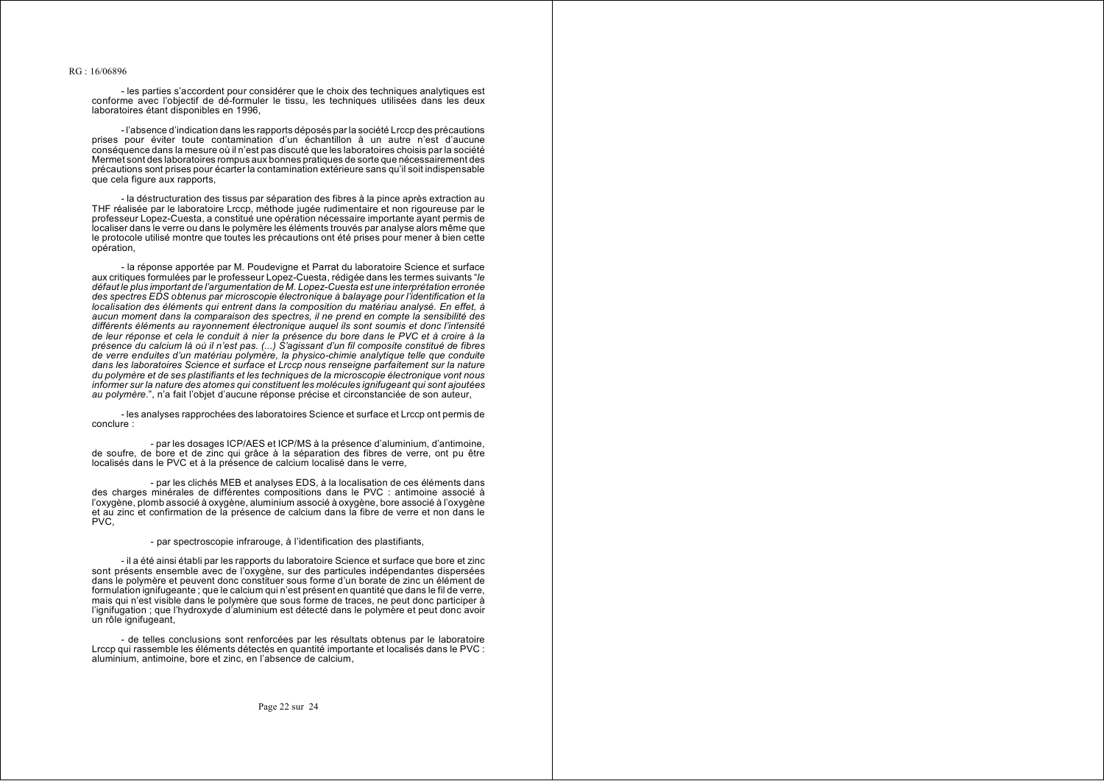- les parties s'accordent pour considérer que le choix des techniques analytiques est conforme avec l'objectif de dé-formuler le tissu, les techniques utilisées dans les deux laboratoires étant disponibles en 1996,

- l'absence d'indication dans les rapports déposés par la société Lrccp des précautions prises pour éviter toute contamination d'un échantillon à un autre n'est d'aucune conséquence dans la mesure où il n'est pas discuté que les laboratoires choisis par la société Mermet sont des laboratoires rompus aux bonnes pratiques de sorte que nécessairement des précautions sont prises pour écarter la contamination extérieure sans qu'il soit indispensable que cela figure aux rapports.

- la déstructuration des tissus par séparation des fibres à la pince après extraction au THF réalisée par le laboratoire Lrccp, méthode jugée rudimentaire et non rigoureuse par le professeur Lopez-Cuesta, a constitué une opération nécessaire importante avant permis de localiser dans le verre ou dans le polymère les éléments trouvés par analyse alors même que le protocole utilisé montre que toutes les précautions ont été prises pour mener à bien cette opération.

- la réponse apportée par M. Poudevigne et Parrat du laboratoire Science et surface aux critiques formulées par le professeur Lopez-Cuesta, rédigée dans les termes suivants "le défaut le plus important de l'argumentation de M. Lopez-Cuesta est une interprétation erronée des spectres EDS obtenus par microscopie électronique à balavage pour l'identification et la localisation des éléments qui entrent dans la composition du matériau analysé. En effet, à aucun moment dans la comparaison des spectres. il ne prend en compte la sensibilité des différents éléments au rayonnement électronique auquel ils sont soumis et donc l'intensité de leur réponse et cela le conduit à nier la présence du bore dans le PVC et à croire à la présence du calcium là où il n'est pas. (...) S'agissant d'un fil composite constitué de fibres de verre enduites d'un matériau polymère, la physico-chimie analytique telle que conduite dans les laboratoires Science et surface et Lrccp nous renseigne parfaitement sur la nature du polymère et de ses plastifiants et les techniques de la microscopie électronique vont nous informer sur la nature des atomes qui constituent les molécules jonifugeant qui sont ajoutées au polymère.", n'a fait l'objet d'aucune réponse précise et circonstanciée de son auteur,

- les analyses rapprochées des laboratoires Science et surface et Lrccp ont permis de conclure:

- par les dosages ICP/AES et ICP/MS à la présence d'aluminium, d'antimoine, de soufre, de bore et de zinc qui grâce à la séparation des fibres de verre, ont pu être localisés dans le PVC et à la présence de calcium localisé dans le verre.

- par les clichés MEB et analyses EDS, à la localisation de ces éléments dans des charges minérales de différentes compositions dans le PVC : antimoine associé à l'oxygène, plomb associé à oxygène, aluminium associé à oxygène, bore associé à l'oxygène et au zinc et confirmation de la présence de calcium dans la fibre de verre et non dans le **PVC** 

- par spectroscopie infrarouge, à l'identification des plastifiants.

- il a été ainsi établi par les rapports du laboratoire Science et surface que bore et zinc sont présents ensemble avec de l'oxygène, sur des particules indépendantes dispersées dans le polymère et peuvent donc constituer sous forme d'un borate de zinc un élément de formulation ignifugeante : que le calcium qui n'est présent en quantité que dans le fil de verre. mais qui n'est visible dans le polymère que sous forme de traces, ne peut donc participer à l'ignifugation ; que l'hydroxyde d'aluminium est détecté dans le polymère et peut donc avoir un rôle ignifugeant,

- de telles conclusions sont renforcées par les résultats obtenus par le laboratoire Lrcco qui rassemble les éléments détectés en quantité importante et localisés dans le PVC : aluminium, antimoine, bore et zinc, en l'absence de calcium,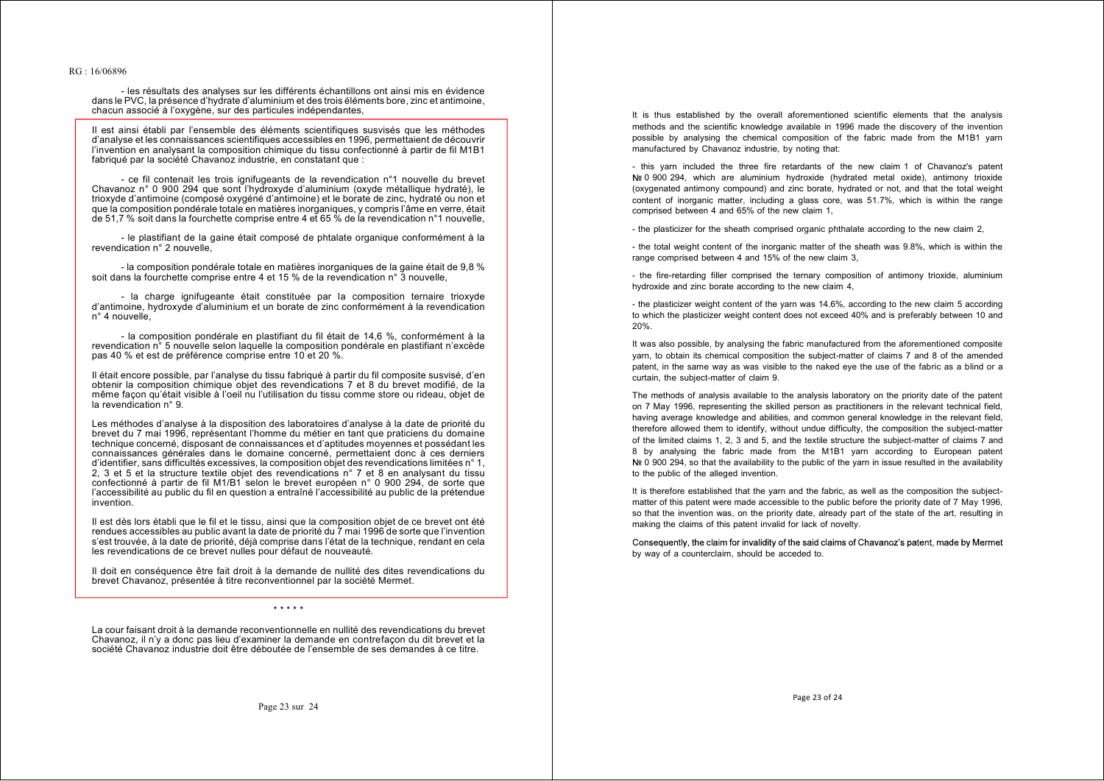- les résultats des analyses sur les différents échantillons ont ainsi mis en évidence dans le PVC, la présence d'hydrate d'aluminium et des trois éléments bore, zinc et antimoine, chacun associé à l'oxygène, sur des particules indépendantes,

Il est ainsi établi par l'ensemble des éléments scientifiques susvisés que les méthodes d'analyse et les connaissances scientifiques accessibles en 1996, permettaient de découvrir l'invention en analysant la composition chimique du tissu confectionné à partir de fil M1B1 fabriqué par la société Chavanoz industrie, en constatant que :

- ce fil contenait les trois jonifugeants de la revendication n°1 nouvelle du brevet Chavanoz n° 0 900 294 que sont l'hydroxyde d'aluminium (oxyde métallique hydraté), le trioxyde d'antimoine (composé oxygéné d'antimoine) et le borate de zinc, hydraté ou non et que la composition pondérale totale en matières inorganiques, y compris l'âme en verre, était de 51.7 % soit dans la fourchette comprise entre 4 et 65 % de la revendication n°1 nouvelle.

- le plastifiant de la gaine était composé de phtalate organique conformément à la revendication n° 2 nouvelle.

- la composition pondérale totale en matières inorganiques de la gaine était de 9.8 % soit dans la fourchette comprise entre 4 et 15 % de la revendication n° 3 nouvelle.

- la charge ignifugeante était constituée par la composition ternaire trioxyde d'antimoine, hydroxyde d'aluminium et un borate de zinc conformément à la revendication n° 4 nouvelle.

- la composition pondérale en plastifiant du fil était de 14.6 %, conformément à la revendication n° 5 nouvelle selon laquelle la composition pondérale en plastifiant n'excède pas 40 % et est de préférence comprise entre 10 et 20 %.

Il était encore possible, par l'analyse du tissu fabriqué à partir du fil composite susvisé, d'en obtenir la composition chimique objet des revendications 7 et 8 du brevet modifié, de la même facon qu'était visible à l'oeil nu l'utilisation du tissu comme store ou rideau, objet de la revendication n° 9.

Les méthodes d'analyse à la disposition des laboratoires d'analyse à la date de priorité du brevet du 7 mai 1996, représentant l'homme du métier en tant que praticiens du domaine technique concerné, disposant de connaissances et d'aptitudes movennes et possédant les connaissances générales dans le domaine concerné, permettaient donc à ces derniers d'identifier, sans difficultés excessives, la composition objet des revendications limitées n° 1. 2. 3 et 5 et la structure textile objet des revendications n° 7 et 8 en analysant du tissu confectionné à partir de fil M1/B1 selon le brevet européen n° 0 900 294, de sorte que l'accessibilité au public du fil en question a entraîné l'accessibilité au public de la prétendue invention.

Il est dès lors établi que le fil et le tissu, ainsi que la composition objet de ce brevet ont été reduces accessibles au public avant la date de priorité du 7 mai 1996 de sorte que l'invention s'est trouvée, à la date de priorité, déjà comprise dans l'état de la technique, rendant en cela les revendications de ce brevet nulles pour défaut de nouveauté.

Il doit en conséquence être fait droit à la demande de nullité des dites revendications du brevet Chavanoz, présentée à titre reconventionnel par la société Mermet.

. . . . . **.** 

La cour faisant droit à la demande reconventionnelle en nullité des revendications du brevet Chavanoz, il n'y a donc pas lieu d'examiner la demande en contrefacon du dit brevet et la société Chavanoz industrie doit être déboutée de l'ensemble de ses demandes à ce titre.

It is thus established by the overall aforementioned scientific elements that the analysis methods and the scientific knowledge available in 1996 made the discovery of the invention possible by analysing the chemical composition of the fabric made from the M1B1 yarn manufactured by Chavanoz industrie, by noting that:

- this yarn included the three fire retardants of the new claim 1 of Chavanoz's patent Nº 0 900 294, which are aluminium hydroxide (hydrated metal oxide), antimony trioxide (oxygenated antimony compound) and zinc borate, hydrated or not, and that the total weight content of inorganic matter, including a glass core, was 51.7%, which is within the range comprised between 4 and 65% of the new claim 1.

- the plasticizer for the sheath comprised organic phthalate according to the new claim 2.

- the total weight content of the inorganic matter of the sheath was 9.8%, which is within the range comprised between 4 and 15% of the new claim 3.

- the fire-retarding filler comprised the ternary composition of antimony trioxide, aluminium hydroxide and zinc borate according to the new claim 4.

- the plasticizer weight content of the varn was 14.6%, according to the new claim 5 according to which the plasticizer weight content does not exceed 40% and is preferably between 10 and  $20%$ 

It was also possible, by analysing the fabric manufactured from the aforementioned composite yarn, to obtain its chemical composition the subject-matter of claims 7 and 8 of the amended patent, in the same way as was visible to the naked eye the use of the fabric as a blind or a curtain the subject-matter of claim 9

The methods of analysis available to the analysis laboratory on the priority date of the patent on 7 May 1996, representing the skilled person as practitioners in the relevant technical field. having average knowledge and abilities, and common general knowledge in the relevant field, therefore allowed them to identify, without undue difficulty, the composition the subject-matter of the limited claims 1, 2, 3 and 5, and the textile structure the subject-matter of claims 7 and 8 by analysing the fabric made from the M1B1 yarn according to European patent № 0 900 294, so that the availability to the public of the yarn in issue resulted in the availability to the public of the alleged invention.

It is therefore established that the yarn and the fabric, as well as the composition the subjectmatter of this patent were made accessible to the public before the priority date of 7 May 1996. so that the invention was, on the priority date, already part of the state of the art, resulting in making the claims of this patent invalid for lack of novelty.

Consequently, the claim for invalidity of the said claims of Chavanoz's patent, made by Mermet by way of a counterclaim, should be acceded to.